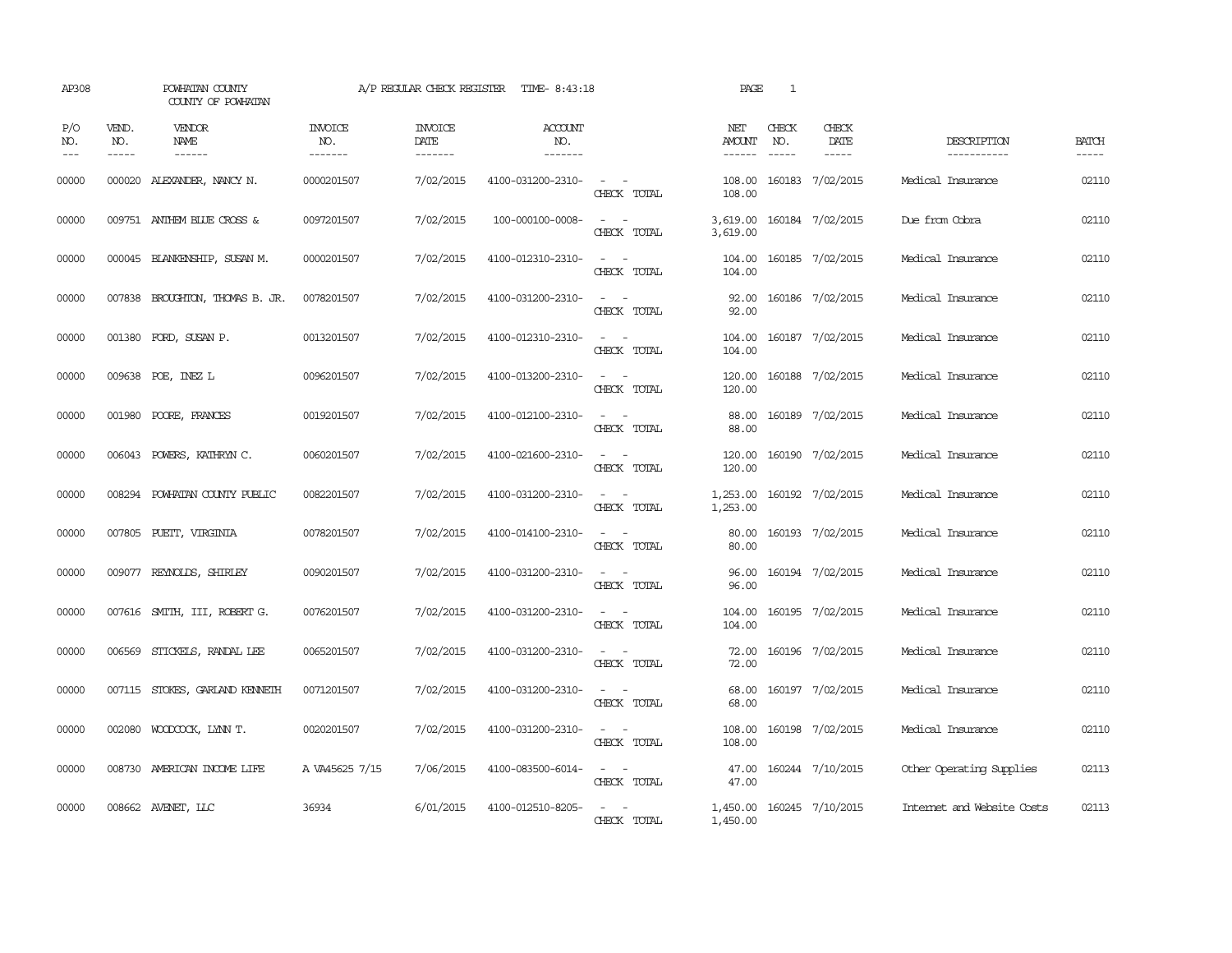| AP308                                                                                                                                                                                                                                                                                                                                                                                                      |                             | POWHATAN COUNTY<br>COUNTY OF POWHATAN  |                                  | A/P REGULAR CHECK REGISTER        | TIME- 8:43:18                    |                                                            | PAGE                    | $\mathbf{1}$ |                              |                            |                       |
|------------------------------------------------------------------------------------------------------------------------------------------------------------------------------------------------------------------------------------------------------------------------------------------------------------------------------------------------------------------------------------------------------------|-----------------------------|----------------------------------------|----------------------------------|-----------------------------------|----------------------------------|------------------------------------------------------------|-------------------------|--------------|------------------------------|----------------------------|-----------------------|
| P/O<br>NO.<br>$\frac{1}{2} \frac{1}{2} \frac{1}{2} \frac{1}{2} \frac{1}{2} \frac{1}{2} \frac{1}{2} \frac{1}{2} \frac{1}{2} \frac{1}{2} \frac{1}{2} \frac{1}{2} \frac{1}{2} \frac{1}{2} \frac{1}{2} \frac{1}{2} \frac{1}{2} \frac{1}{2} \frac{1}{2} \frac{1}{2} \frac{1}{2} \frac{1}{2} \frac{1}{2} \frac{1}{2} \frac{1}{2} \frac{1}{2} \frac{1}{2} \frac{1}{2} \frac{1}{2} \frac{1}{2} \frac{1}{2} \frac{$ | VEND.<br>NO.<br>$- - - - -$ | <b>VENDOR</b><br>NAME<br>$- - - - - -$ | <b>INVOICE</b><br>NO.<br>------- | <b>INVOICE</b><br>DATE<br>------- | <b>ACCOUNT</b><br>NO.<br>------- |                                                            | NET<br>AMOUNT<br>------ | CHECK<br>NO. | CHECK<br>DATE<br>$- - - - -$ | DESCRIPTION<br>----------- | <b>BATCH</b><br>----- |
| 00000                                                                                                                                                                                                                                                                                                                                                                                                      |                             | 000020 ALEXANDER, NANCY N.             | 0000201507                       | 7/02/2015                         | 4100-031200-2310-                | $\sim$ $ -$<br>CHECK TOTAL                                 | 108.00<br>108.00        |              | 160183 7/02/2015             | Medical Insurance          | 02110                 |
| 00000                                                                                                                                                                                                                                                                                                                                                                                                      |                             | 009751 ANTHEM BLUE CROSS &             | 0097201507                       | 7/02/2015                         | 100-000100-0008-                 | $\sim$ $\sim$<br>CHECK TOTAL                               | 3,619.00<br>3,619.00    |              | 160184 7/02/2015             | Due from Cobra             | 02110                 |
| 00000                                                                                                                                                                                                                                                                                                                                                                                                      |                             | 000045 BLANKENSHIP, SUSAN M.           | 0000201507                       | 7/02/2015                         | 4100-012310-2310-                | $\sim$ $ \sim$<br>CHECK TOTAL                              | 104.00<br>104.00        |              | 160185 7/02/2015             | Medical Insurance          | 02110                 |
| 00000                                                                                                                                                                                                                                                                                                                                                                                                      |                             | 007838 BROUGHTON, THOMAS B. JR.        | 0078201507                       | 7/02/2015                         | 4100-031200-2310-                | $ -$<br>CHECK TOTAL                                        | 92.00<br>92.00          |              | 160186 7/02/2015             | Medical Insurance          | 02110                 |
| 00000                                                                                                                                                                                                                                                                                                                                                                                                      |                             | 001380 FORD, SUSAN P.                  | 0013201507                       | 7/02/2015                         | 4100-012310-2310-                | $\omega_{\rm{max}}$ and $\omega_{\rm{max}}$<br>CHECK TOTAL | 104.00<br>104.00        |              | 160187 7/02/2015             | Medical Insurance          | 02110                 |
| 00000                                                                                                                                                                                                                                                                                                                                                                                                      |                             | 009638 POE, INEZ L                     | 0096201507                       | 7/02/2015                         | 4100-013200-2310-                | $\sim$ $ -$<br>CHECK TOTAL                                 | 120.00<br>120.00        |              | 160188 7/02/2015             | Medical Insurance          | 02110                 |
| 00000                                                                                                                                                                                                                                                                                                                                                                                                      |                             | 001980 POORE, FRANCES                  | 0019201507                       | 7/02/2015                         | 4100-012100-2310-                | $\sim$ $ \sim$<br>CHECK TOTAL                              | 88.00<br>88.00          |              | 160189 7/02/2015             | Medical Insurance          | 02110                 |
| 00000                                                                                                                                                                                                                                                                                                                                                                                                      |                             | 006043 POWERS, KATHRYN C.              | 0060201507                       | 7/02/2015                         | 4100-021600-2310-                | $\omega_{\rm{max}}$ and $\omega_{\rm{max}}$<br>CHECK TOTAL | 120.00<br>120.00        |              | 160190 7/02/2015             | Medical Insurance          | 02110                 |
| 00000                                                                                                                                                                                                                                                                                                                                                                                                      |                             | 008294 POWHATAN COUNTY PUBLIC          | 0082201507                       | 7/02/2015                         | 4100-031200-2310-                | $\sim$ 100 $\sim$ 100 $\sim$<br>CHECK TOTAL                | 1,253.00                |              | 1,253.00 160192 7/02/2015    | Medical Insurance          | 02110                 |
| 00000                                                                                                                                                                                                                                                                                                                                                                                                      |                             | 007805 PUEIT, VIRGINIA                 | 0078201507                       | 7/02/2015                         | 4100-014100-2310-                | $\sim$ $ \sim$<br>CHECK TOTAL                              | 80.00<br>80.00          |              | 160193 7/02/2015             | Medical Insurance          | 02110                 |
| 00000                                                                                                                                                                                                                                                                                                                                                                                                      |                             | 009077 REYNOLDS, SHIRLEY               | 0090201507                       | 7/02/2015                         | 4100-031200-2310-                | $\sim$ $ -$<br>CHECK TOTAL                                 | 96.00<br>96.00          |              | 160194 7/02/2015             | Medical Insurance          | 02110                 |
| 00000                                                                                                                                                                                                                                                                                                                                                                                                      |                             | 007616 SMITH, III, ROBERT G.           | 0076201507                       | 7/02/2015                         | 4100-031200-2310-                | $\sim$ $ \sim$<br>CHECK TOTAL                              | 104.00<br>104.00        |              | 160195 7/02/2015             | Medical Insurance          | 02110                 |
| 00000                                                                                                                                                                                                                                                                                                                                                                                                      |                             | 006569 STICKELS, RANDAL LEE            | 0065201507                       | 7/02/2015                         | 4100-031200-2310-                | $\omega_{\rm{max}}$ and $\omega_{\rm{max}}$<br>CHECK TOTAL | 72.00<br>72.00          |              | 160196 7/02/2015             | Medical Insurance          | 02110                 |
| 00000                                                                                                                                                                                                                                                                                                                                                                                                      |                             | 007115 STOKES, GARLAND KENNETH         | 0071201507                       | 7/02/2015                         | 4100-031200-2310-                | $\omega_{\rm{max}}$ and $\omega_{\rm{max}}$<br>CHECK TOTAL | 68.00<br>68.00          |              | 160197 7/02/2015             | Medical Insurance          | 02110                 |
| 00000                                                                                                                                                                                                                                                                                                                                                                                                      |                             | 002080 WOODCOCK, LYNN T.               | 0020201507                       | 7/02/2015                         | 4100-031200-2310-                | $\sim$ $ -$<br>CHECK TOTAL                                 | 108.00<br>108.00        |              | 160198 7/02/2015             | Medical Insurance          | 02110                 |
| 00000                                                                                                                                                                                                                                                                                                                                                                                                      |                             | 008730 AMERICAN INCOME LIFE            | A VA45625 7/15                   | 7/06/2015                         | 4100-083500-6014-                | $\sim$ 100 $\sim$<br>CHECK TOTAL                           | 47.00<br>47.00          |              | 160244 7/10/2015             | Other Operating Supplies   | 02113                 |
| 00000                                                                                                                                                                                                                                                                                                                                                                                                      |                             | 008662 AVENET, LLC                     | 36934                            | 6/01/2015                         | 4100-012510-8205-                | CHECK TOTAL                                                | 1,450.00                |              | 1,450.00 160245 7/10/2015    | Internet and Website Costs | 02113                 |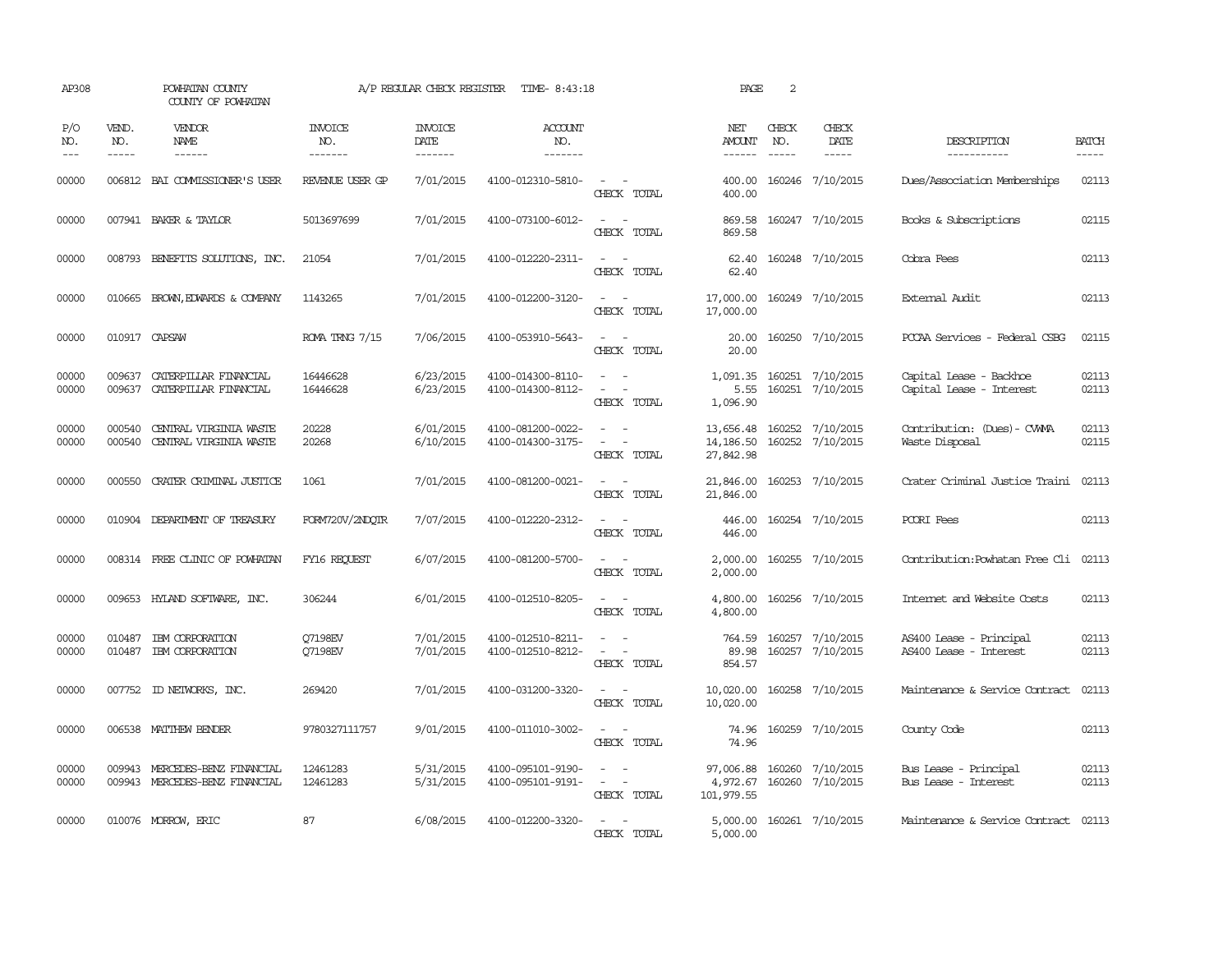| AP308               |                               | POWHATAN COUNTY<br>COUNTY OF POWHATAN                                                                                                                                                                                                                                                                                                                                                                                                                                                        |                                   | A/P REGULAR CHECK REGISTER         | TIME- 8:43:18                            |                                                                                                                             | PAGE                                | 2                             |                                      |                                                     |                       |
|---------------------|-------------------------------|----------------------------------------------------------------------------------------------------------------------------------------------------------------------------------------------------------------------------------------------------------------------------------------------------------------------------------------------------------------------------------------------------------------------------------------------------------------------------------------------|-----------------------------------|------------------------------------|------------------------------------------|-----------------------------------------------------------------------------------------------------------------------------|-------------------------------------|-------------------------------|--------------------------------------|-----------------------------------------------------|-----------------------|
| P/O<br>NO.<br>$---$ | VEND.<br>NO.<br>$\frac{1}{2}$ | VENDOR<br>NAME<br>$\frac{1}{2} \left( \frac{1}{2} \right) \left( \frac{1}{2} \right) \left( \frac{1}{2} \right) \left( \frac{1}{2} \right) \left( \frac{1}{2} \right) \left( \frac{1}{2} \right) \left( \frac{1}{2} \right) \left( \frac{1}{2} \right) \left( \frac{1}{2} \right) \left( \frac{1}{2} \right) \left( \frac{1}{2} \right) \left( \frac{1}{2} \right) \left( \frac{1}{2} \right) \left( \frac{1}{2} \right) \left( \frac{1}{2} \right) \left( \frac{1}{2} \right) \left( \frac$ | <b>INVOICE</b><br>NO.<br>-------- | <b>INVOICE</b><br>DATE<br>-------- | <b>ACCOUNT</b><br>NO.<br>$- - - - - - -$ |                                                                                                                             | NET<br><b>AMOUNT</b><br>------      | CHECK<br>NO.<br>$\frac{1}{2}$ | CHECK<br>DATE<br>$\frac{1}{2}$       | DESCRIPTION<br>-----------                          | <b>BATCH</b><br>----- |
| 00000               |                               | 006812 BAI COMMISSIONER'S USER                                                                                                                                                                                                                                                                                                                                                                                                                                                               | REVENUE USER GP                   | 7/01/2015                          | 4100-012310-5810-                        | $\sim$ 100 $\sim$<br>CHECK TOTAL                                                                                            | 400.00<br>400.00                    |                               | 160246 7/10/2015                     | Dues/Association Memberships                        | 02113                 |
| 00000               |                               | 007941 BAKER & TAYLOR                                                                                                                                                                                                                                                                                                                                                                                                                                                                        | 5013697699                        | 7/01/2015                          | 4100-073100-6012-                        | CHECK TOTAL                                                                                                                 | 869.58<br>869.58                    |                               | 160247 7/10/2015                     | Books & Subscriptions                               | 02115                 |
| 00000               |                               | 008793 BENEFITS SOLUTIONS, INC.                                                                                                                                                                                                                                                                                                                                                                                                                                                              | 21054                             | 7/01/2015                          | 4100-012220-2311-                        | $\sim$ $\sim$<br>CHECK TOTAL                                                                                                | 62.40<br>62.40                      |                               | 160248 7/10/2015                     | Cobra Fees                                          | 02113                 |
| 00000               |                               | 010665 BROWN, EDWARDS & COMPANY                                                                                                                                                                                                                                                                                                                                                                                                                                                              | 1143265                           | 7/01/2015                          | 4100-012200-3120-                        | $\omega_{\rm{max}}$ and $\omega_{\rm{max}}$<br>CHECK TOTAL                                                                  | 17,000.00<br>17,000.00              |                               | 160249 7/10/2015                     | External Audit                                      | 02113                 |
| 00000               |                               | 010917 CAPSAW                                                                                                                                                                                                                                                                                                                                                                                                                                                                                | ROMA TRNG 7/15                    | 7/06/2015                          | 4100-053910-5643-                        | $\frac{1}{2} \left( \frac{1}{2} \right) \left( \frac{1}{2} \right) = \frac{1}{2} \left( \frac{1}{2} \right)$<br>CHECK TOTAL | 20.00<br>20.00                      |                               | 160250 7/10/2015                     | PCCAA Services - Federal CSBG                       | 02115                 |
| 00000<br>00000      | 009637<br>009637              | CATERPILLAR FINANCIAL<br>CATERPILLAR FINANCIAL                                                                                                                                                                                                                                                                                                                                                                                                                                               | 16446628<br>16446628              | 6/23/2015<br>6/23/2015             | 4100-014300-8110-<br>4100-014300-8112-   | $\overline{\phantom{a}}$<br>CHECK TOTAL                                                                                     | 1,091.35<br>5.55<br>1,096.90        |                               | 160251 7/10/2015<br>160251 7/10/2015 | Capital Lease - Backhoe<br>Capital Lease - Interest | 02113<br>02113        |
| 00000<br>00000      | 000540<br>000540              | CENTRAL VIRGINIA WASTE<br>CENTRAL VIRGINIA WASTE                                                                                                                                                                                                                                                                                                                                                                                                                                             | 20228<br>20268                    | 6/01/2015<br>6/10/2015             | 4100-081200-0022-<br>4100-014300-3175-   | $\sim$ $ \sim$<br>CHECK TOTAL                                                                                               | 13,656.48<br>14,186.50<br>27,842.98 |                               | 160252 7/10/2015<br>160252 7/10/2015 | Contribution: (Dues) - CWMA<br>Waste Disposal       | 02113<br>02115        |
| 00000               | 000550                        | CRATER CRIMINAL JUSTICE                                                                                                                                                                                                                                                                                                                                                                                                                                                                      | 1061                              | 7/01/2015                          | 4100-081200-0021-                        | $\sim$ $ \sim$<br>CHECK TOTAL                                                                                               | 21,846.00<br>21,846.00              |                               | 160253 7/10/2015                     | Crater Criminal Justice Traini                      | 02113                 |
| 00000               |                               | 010904 DEPARIMENT OF TREASURY                                                                                                                                                                                                                                                                                                                                                                                                                                                                | FORM720V/2NDOTR                   | 7/07/2015                          | 4100-012220-2312-                        | $\sim$<br>CHECK TOTAL                                                                                                       | 446.00<br>446.00                    |                               | 160254 7/10/2015                     | PCORI Fees                                          | 02113                 |
| 00000               |                               | 008314 FREE CLINIC OF POWHATAN                                                                                                                                                                                                                                                                                                                                                                                                                                                               | FY16 REQUEST                      | 6/07/2015                          | 4100-081200-5700-                        | $\sim$ $ \sim$<br>CHECK TOTAL                                                                                               | 2,000.00<br>2,000.00                |                               | 160255 7/10/2015                     | Contribution: Powhatan Free Cli                     | 02113                 |
| 00000               |                               | 009653 HYLAND SOFTWARE, INC.                                                                                                                                                                                                                                                                                                                                                                                                                                                                 | 306244                            | 6/01/2015                          | 4100-012510-8205-                        | $\equiv$<br>CHECK TOTAL                                                                                                     | 4,800.00<br>4,800.00                |                               | 160256 7/10/2015                     | Internet and Website Costs                          | 02113                 |
| 00000<br>00000      | 010487<br>010487              | IBM CORPORATION<br>IBM CORPORATION                                                                                                                                                                                                                                                                                                                                                                                                                                                           | 07198EV<br>07198EV                | 7/01/2015<br>7/01/2015             | 4100-012510-8211-<br>4100-012510-8212-   | CHECK TOTAL                                                                                                                 | 764.59<br>89.98<br>854.57           |                               | 160257 7/10/2015<br>160257 7/10/2015 | AS400 Lease - Principal<br>AS400 Lease - Interest   | 02113<br>02113        |
| 00000               |                               | 007752 ID NEIWORKS, INC.                                                                                                                                                                                                                                                                                                                                                                                                                                                                     | 269420                            | 7/01/2015                          | 4100-031200-3320-                        | $\sim$ $ -$<br>CHECK TOTAL                                                                                                  | 10,020.00<br>10,020.00              |                               | 160258 7/10/2015                     | Maintenance & Service Contract                      | 02113                 |
| 00000               |                               | 006538 MATTHEW BENDER                                                                                                                                                                                                                                                                                                                                                                                                                                                                        | 9780327111757                     | 9/01/2015                          | 4100-011010-3002-                        | $\sim$ $\sim$<br>CHECK TOTAL                                                                                                | 74.96                               |                               | 74.96 160259 7/10/2015               | County Code                                         | 02113                 |
| 00000<br>00000      | 009943                        | MERCEDES-BENZ FINANCIAL<br>009943 MERCEDES-BENZ FINANCIAL                                                                                                                                                                                                                                                                                                                                                                                                                                    | 12461283<br>12461283              | 5/31/2015<br>5/31/2015             | 4100-095101-9190-<br>4100-095101-9191-   | $\sim$<br>$\sim$<br>$\overline{\phantom{a}}$<br>$\overline{\phantom{a}}$<br>CHECK TOTAL                                     | 97,006.88<br>4,972.67<br>101,979.55 | 160260                        | 160260 7/10/2015<br>7/10/2015        | Bus Lease - Principal<br>Bus Lease - Interest       | 02113<br>02113        |
| 00000               |                               | 010076 MORROW, ERIC                                                                                                                                                                                                                                                                                                                                                                                                                                                                          | 87                                | 6/08/2015                          | 4100-012200-3320-                        | CHECK TOTAL                                                                                                                 | 5,000.00                            |                               | 5,000.00 160261 7/10/2015            | Maintenance & Service Contract 02113                |                       |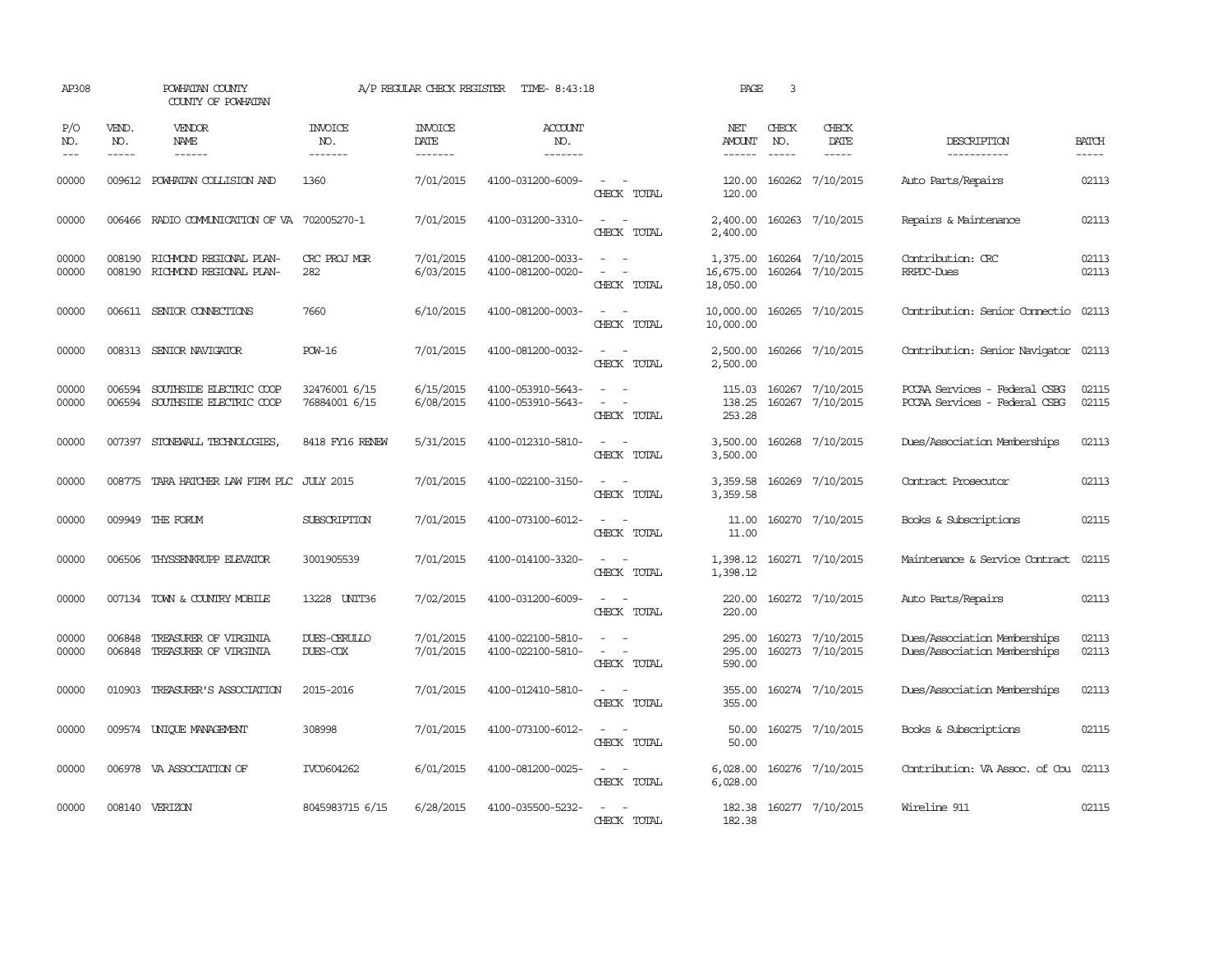| AP308               |                             | POWHATAN COUNTY<br>COUNTY OF POWHATAN                            |                                  | A/P REGULAR CHECK REGISTER        | TIME- 8:43:18                            |                                                           | PAGE                               | 3                             |                                      |                                                                |                             |
|---------------------|-----------------------------|------------------------------------------------------------------|----------------------------------|-----------------------------------|------------------------------------------|-----------------------------------------------------------|------------------------------------|-------------------------------|--------------------------------------|----------------------------------------------------------------|-----------------------------|
| P/O<br>NO.<br>$---$ | VEND.<br>NO.<br>$- - - - -$ | VENDOR<br>NAME<br>$- - - - - -$                                  | <b>INVOICE</b><br>NO.<br>------- | <b>INVOICE</b><br>DATE<br>------- | <b>ACCOUNT</b><br>NO.<br>$- - - - - - -$ |                                                           | NET<br>AMOUNT                      | CHECK<br>NO.<br>$\frac{1}{2}$ | CHECK<br>DATE<br>$- - - - -$         | DESCRIPTION<br>-----------                                     | <b>BATCH</b><br>$- - - - -$ |
| 00000               |                             | 009612 POWHATAN COLLISION AND                                    | 1360                             | 7/01/2015                         | 4100-031200-6009-                        | CHECK TOTAL                                               | 120.00<br>120.00                   |                               | 160262 7/10/2015                     | Auto Parts/Repairs                                             | 02113                       |
| 00000               | 006466                      | RADIO COMMUNICATION OF VA                                        | 702005270-1                      | 7/01/2015                         | 4100-031200-3310-                        | $\sim$<br>$\sim$<br>CHECK TOTAL                           | 2,400.00<br>2,400.00               |                               | 160263 7/10/2015                     | Repairs & Maintenance                                          | 02113                       |
| 00000<br>00000      |                             | 008190 RICHMOND REGIONAL PLAN-<br>008190 RICHMOND REGIONAL PLAN- | CRC PROJ MGR<br>282              | 7/01/2015<br>6/03/2015            | 4100-081200-0033-<br>4100-081200-0020-   | $\sim$ $ \sim$<br>$\sim$<br>$\sim$ $-$<br>CHECK TOTAL     | 1,375.00<br>16,675.00<br>18,050.00 |                               | 160264 7/10/2015<br>160264 7/10/2015 | Contribution: CRC<br>RRPDC-Dues                                | 02113<br>02113              |
| 00000               |                             | 006611 SENIOR CONNECTIONS                                        | 7660                             | 6/10/2015                         | 4100-081200-0003-                        | $\sim$ $ -$<br>CHECK TOTAL                                | 10,000.00<br>10,000.00             |                               | 160265 7/10/2015                     | Contribution: Senior Connectio                                 | 02113                       |
| 00000               |                             | 008313 SENIOR NAVIGATOR                                          | <b>POW-16</b>                    | 7/01/2015                         | 4100-081200-0032-                        | $\sim$<br>$\sim$<br>CHECK TOTAL                           | 2,500.00<br>2,500.00               |                               | 160266 7/10/2015                     | Contribution: Senior Navigator 02113                           |                             |
| 00000<br>00000      | 006594<br>006594            | SOUTHSIDE ELECTRIC COOP<br>SOUTHSIDE ELECTRIC COOP               | 32476001 6/15<br>76884001 6/15   | 6/15/2015<br>6/08/2015            | 4100-053910-5643-<br>4100-053910-5643-   | CHECK TOTAL                                               | 115.03<br>138.25<br>253.28         |                               | 160267 7/10/2015<br>160267 7/10/2015 | PCCAA Services - Federal CSBG<br>PCCAA Services - Federal CSBG | 02115<br>02115              |
| 00000               |                             | 007397 STONEWALL TECHNOLOGIES,                                   | 8418 FY16 RENEW                  | 5/31/2015                         | 4100-012310-5810-                        | $\sim$<br>CHECK TOTAL                                     | 3,500.00<br>3,500.00               |                               | 160268 7/10/2015                     | Dues/Association Memberships                                   | 02113                       |
| 00000               |                             | 008775 TARA HATCHER LAW FIRM PLC JULY 2015                       |                                  | 7/01/2015                         | 4100-022100-3150-                        | $\sim$<br>CHECK TOTAL                                     | 3,359.58<br>3,359.58               |                               | 160269 7/10/2015                     | Contract Prosecutor                                            | 02113                       |
| 00000               |                             | 009949 THE FORUM                                                 | SUBSCRIPTION                     | 7/01/2015                         | 4100-073100-6012-                        | $\sim$ $-$<br>CHECK TOTAL                                 | 11.00<br>11.00                     |                               | 160270 7/10/2015                     | Books & Subscriptions                                          | 02115                       |
| 00000               | 006506                      | THYSSENKRUPP ELEVATOR                                            | 3001905539                       | 7/01/2015                         | 4100-014100-3320-                        | $\overline{\phantom{a}}$<br>CHECK TOTAL                   | 1,398.12                           |                               | 1,398.12 160271 7/10/2015            | Maintenance & Service Contract                                 | 02115                       |
| 00000               |                             | 007134 TOWN & COUNTRY MOBILE                                     | 13228 UNIT36                     | 7/02/2015                         | 4100-031200-6009-                        | CHECK TOTAL                                               | 220.00<br>220,00                   |                               | 160272 7/10/2015                     | Auto Parts/Repairs                                             | 02113                       |
| 00000<br>00000      | 006848<br>006848            | TREASURER OF VIRGINIA<br>TREASURER OF VIRGINIA                   | DUES-CERULLO<br>DUES-COX         | 7/01/2015<br>7/01/2015            | 4100-022100-5810-<br>4100-022100-5810-   | $\sim$<br>$\sim$<br>$\sim$ 100 $\sim$<br>CHECK TOTAL      | 295.00<br>295.00<br>590.00         |                               | 160273 7/10/2015<br>160273 7/10/2015 | Dues/Association Memberships<br>Dues/Association Memberships   | 02113<br>02113              |
| 00000               |                             | 010903 TREASURER'S ASSOCIATION                                   | 2015-2016                        | 7/01/2015                         | 4100-012410-5810-                        | $\sim$ $ -$<br>CHECK TOTAL                                | 355.00<br>355.00                   |                               | 160274 7/10/2015                     | Dues/Association Memberships                                   | 02113                       |
| 00000               |                             | 009574 UNIQUE MANAGEMENT                                         | 308998                           | 7/01/2015                         | 4100-073100-6012-                        | $\sim$ 100 $\sim$<br>CHECK TOTAL                          | 50.00<br>50.00                     |                               | 160275 7/10/2015                     | Books & Subscriptions                                          | 02115                       |
| 00000               |                             | 006978 VA ASSOCIATION OF                                         | TVC0604262                       | 6/01/2015                         | 4100-081200-0025-                        | $\overline{\phantom{a}}$<br>$\sim$ $-$<br>CHECK TOTAL     | 6,028.00<br>6,028.00               |                               | 160276 7/10/2015                     | Contribution: VA Assoc. of Cou) 02113                          |                             |
| 00000               |                             | 008140 VERIZON                                                   | 8045983715 6/15                  | 6/28/2015                         | 4100-035500-5232-                        | $\overline{a}$<br>$\overline{\phantom{a}}$<br>CHECK TOTAL | 182.38<br>182.38                   |                               | 160277 7/10/2015                     | Wireline 911                                                   | 02115                       |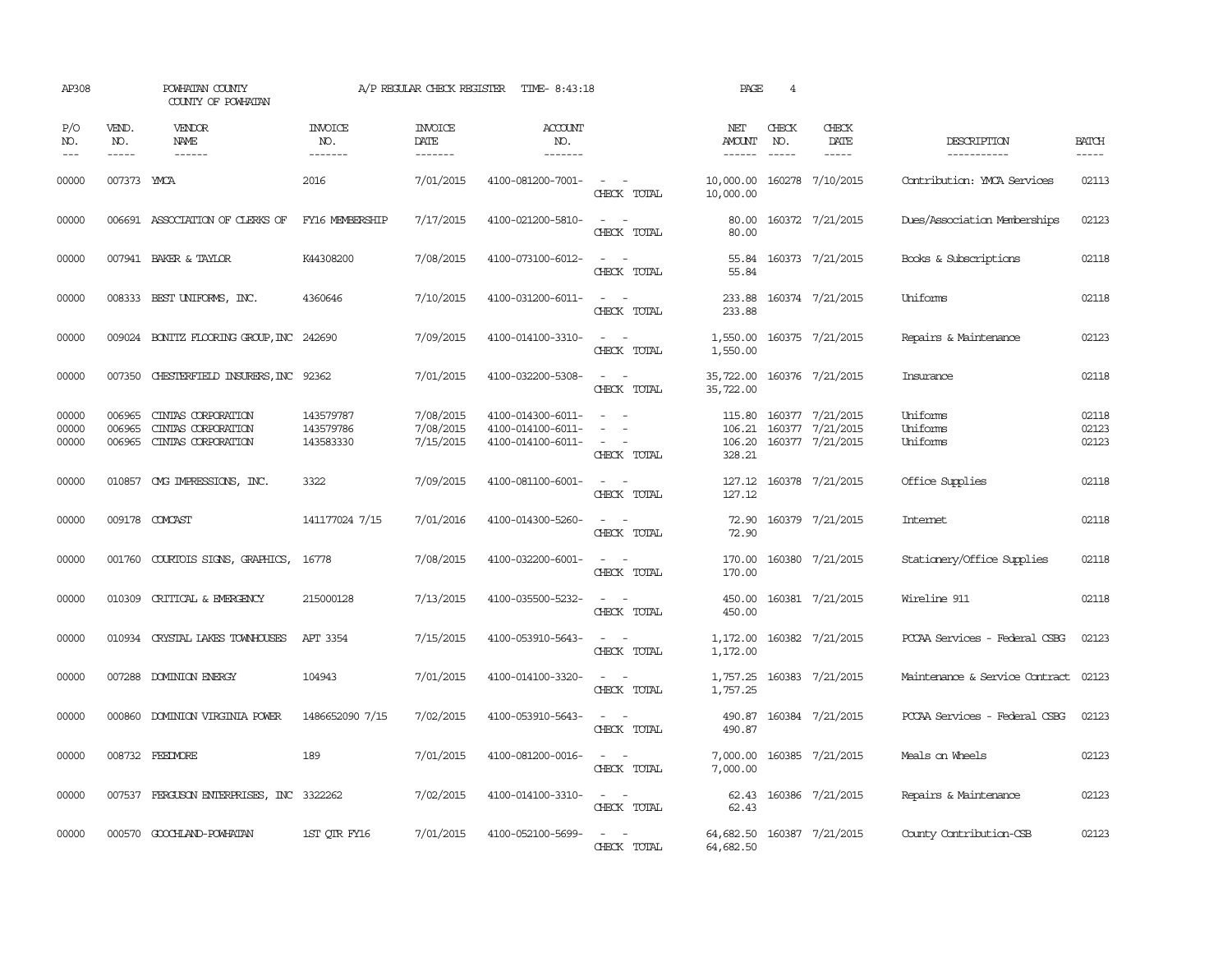| AP308                   |                            | POWHATAN COUNTY<br>COUNTY OF POWHATAN                          |                                     | A/P REGULAR CHECK REGISTER          | TIME- 8:43:18                                               |                                                                                                                             | PAGE                                    | $\overline{4}$ |                                                                 |                                      |                         |
|-------------------------|----------------------------|----------------------------------------------------------------|-------------------------------------|-------------------------------------|-------------------------------------------------------------|-----------------------------------------------------------------------------------------------------------------------------|-----------------------------------------|----------------|-----------------------------------------------------------------|--------------------------------------|-------------------------|
| P/O<br>NO.<br>$---$     | VEND.<br>NO.               | <b>VENDOR</b><br><b>NAME</b><br>------                         | <b>INVOICE</b><br>NO.<br>-------    | <b>INVOICE</b><br>DATE<br>-------   | <b>ACCOUNT</b><br>NO.<br>-------                            |                                                                                                                             | NET<br>AMOUNT<br>------                 | CHECK<br>NO.   | CHECK<br>DATE                                                   | DESCRIPTION<br>-----------           | <b>BATCH</b>            |
| 00000                   | 007373 YMCA                |                                                                | 2016                                | 7/01/2015                           | 4100-081200-7001-                                           | $\omega_{\rm{max}}$ and $\omega_{\rm{max}}$<br>CHECK TOTAL                                                                  | 10,000.00 160278 7/10/2015<br>10,000.00 |                |                                                                 | Contribution: YMCA Services          | 02113                   |
| 00000                   |                            | 006691 ASSOCIATION OF CLERKS OF                                | FY16 MEMBERSHIP                     | 7/17/2015                           | 4100-021200-5810-                                           | $\frac{1}{2} \left( \frac{1}{2} \right) \left( \frac{1}{2} \right) = \frac{1}{2} \left( \frac{1}{2} \right)$<br>CHECK TOTAL | 80.00<br>80.00                          |                | 160372 7/21/2015                                                | Dues/Association Memberships         | 02123                   |
| 00000                   |                            | 007941 BAKER & TAYLOR                                          | K44308200                           | 7/08/2015                           | 4100-073100-6012-                                           | $\sim$ $ -$<br>CHECK TOTAL                                                                                                  | 55.84                                   |                | 55.84 160373 7/21/2015                                          | Books & Subscriptions                | 02118                   |
| 00000                   |                            | 008333 BEST UNIFORMS, INC.                                     | 4360646                             | 7/10/2015                           | 4100-031200-6011-                                           | $\sim$ $ \sim$<br>CHECK TOTAL                                                                                               | 233.88<br>233.88                        |                | 160374 7/21/2015                                                | Uniforms                             | 02118                   |
| 00000                   |                            | 009024 BONITZ FLOORING GROUP, INC 242690                       |                                     | 7/09/2015                           | 4100-014100-3310-                                           | $\frac{1}{2} \left( \frac{1}{2} \right) \left( \frac{1}{2} \right) = \frac{1}{2} \left( \frac{1}{2} \right)$<br>CHECK TOTAL | 1,550.00<br>1,550.00                    |                | 160375 7/21/2015                                                | Repairs & Maintenance                | 02123                   |
| 00000                   |                            | 007350 CHESTERFIELD INSURERS, INC 92362                        |                                     | 7/01/2015                           | 4100-032200-5308-                                           | $\frac{1}{2} \left( \frac{1}{2} \right) \left( \frac{1}{2} \right) = \frac{1}{2} \left( \frac{1}{2} \right)$<br>CHECK TOTAL | 35,722.00<br>35,722.00                  |                | 160376 7/21/2015                                                | Insurance                            | 02118                   |
| 00000<br>00000<br>00000 | 006965<br>006965<br>006965 | CINIAS CORPORATION<br>CINIAS CORPORATION<br>CINIAS CORPORATION | 143579787<br>143579786<br>143583330 | 7/08/2015<br>7/08/2015<br>7/15/2015 | 4100-014300-6011-<br>4100-014100-6011-<br>4100-014100-6011- | $\equiv$<br>$\sim$<br>$\overline{\phantom{a}}$<br>CHECK TOTAL                                                               | 106.21<br>106.20<br>328.21              |                | 115.80 160377 7/21/2015<br>160377 7/21/2015<br>160377 7/21/2015 | Uniforms<br>Uniforms<br>Uniforms     | 02118<br>02123<br>02123 |
| 00000                   |                            | 010857 CMG IMPRESSIONS, INC.                                   | 3322                                | 7/09/2015                           | 4100-081100-6001-                                           | $\frac{1}{2} \left( \frac{1}{2} \right) \left( \frac{1}{2} \right) = \frac{1}{2} \left( \frac{1}{2} \right)$<br>CHECK TOTAL | 127.12<br>127.12                        |                | 160378 7/21/2015                                                | Office Supplies                      | 02118                   |
| 00000                   |                            | 009178 COMCAST                                                 | 141177024 7/15                      | 7/01/2016                           | 4100-014300-5260-                                           | $ -$<br>CHECK TOTAL                                                                                                         | 72.90<br>72.90                          |                | 160379 7/21/2015                                                | Intemet                              | 02118                   |
| 00000                   | 001760                     | COURTOIS SIGNS, GRAPHICS,                                      | 16778                               | 7/08/2015                           | 4100-032200-6001-                                           | $\equiv$<br>CHECK TOTAL                                                                                                     | 170.00<br>170.00                        |                | 160380 7/21/2015                                                | Stationery/Office Supplies           | 02118                   |
| 00000                   | 010309                     | CRITICAL & EMERGENCY                                           | 215000128                           | 7/13/2015                           | 4100-035500-5232-                                           | $ -$<br>CHECK TOTAL                                                                                                         | 450.00<br>450.00                        |                | 160381 7/21/2015                                                | Wireline 911                         | 02118                   |
| 00000                   |                            | 010934 CRYSTAL LAKES TOWNHOUSES                                | <b>APT 3354</b>                     | 7/15/2015                           | 4100-053910-5643-                                           | $\frac{1}{2} \left( \frac{1}{2} \right) \left( \frac{1}{2} \right) = \frac{1}{2} \left( \frac{1}{2} \right)$<br>CHECK TOTAL | 1,172.00                                |                | 1,172.00 160382 7/21/2015                                       | PCCAA Services - Federal CSBG        | 02123                   |
| 00000                   |                            | 007288 DOMINION ENERGY                                         | 104943                              | 7/01/2015                           | 4100-014100-3320-                                           | $\sim$ $ \sim$<br>CHECK TOTAL                                                                                               | 1,757.25                                |                | 1,757.25 160383 7/21/2015                                       | Maintenance & Service Contract 02123 |                         |
| 00000                   |                            | 000860 DOMINION VIRGINIA POWER                                 | 1486652090 7/15                     | 7/02/2015                           | 4100-053910-5643-                                           | $\sim$ $ \sim$<br>CHECK TOTAL                                                                                               | 490.87                                  |                | 490.87 160384 7/21/2015                                         | PCCAA Services - Federal CSBG        | 02123                   |
| 00000                   |                            | 008732 FEEDVORE                                                | 189                                 | 7/01/2015                           | 4100-081200-0016-                                           | $\sim$ $ \sim$<br>CHECK TOTAL                                                                                               | 7,000.00<br>7,000.00                    |                | 160385 7/21/2015                                                | Meals on Wheels                      | 02123                   |
| 00000                   |                            | 007537 FERGUSON ENTERPRISES, INC 3322262                       |                                     | 7/02/2015                           | 4100-014100-3310-                                           | $\sim$ $ \sim$<br>CHECK TOTAL                                                                                               | 62.43<br>62.43                          |                | 160386 7/21/2015                                                | Repairs & Maintenance                | 02123                   |
| 00000                   |                            | 000570 GOOCHLAND-POWHATAN                                      | 1ST QTR FY16                        | 7/01/2015                           | 4100-052100-5699-                                           | $\sim$ $ \sim$<br>CHECK TOTAL                                                                                               | 64,682.50<br>64,682.50                  |                | 160387 7/21/2015                                                | County Contribution-CSB              | 02123                   |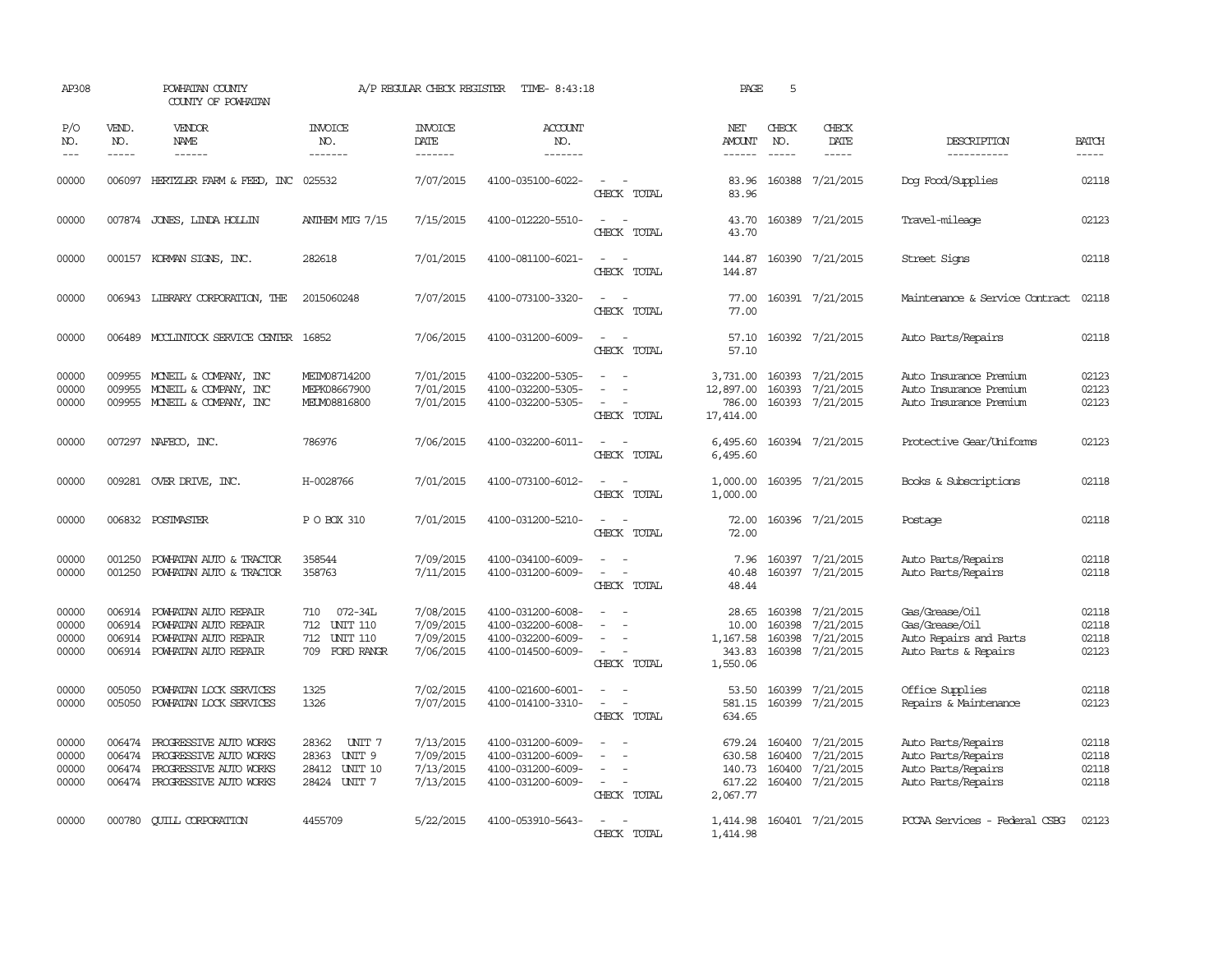| AP308                            |                               | POWHATAN COUNTY<br>COUNTY OF POWHATAN                                                                                                                                                                                                                                                                                                                                                                                                                                                        |                                                                                          | A/P REGULAR CHECK REGISTER                       | TIME- 8:43:18                                                                    |                                                                                                                             | PAGE                                             | 5                                    |                                                         |                                                                                      |                                  |
|----------------------------------|-------------------------------|----------------------------------------------------------------------------------------------------------------------------------------------------------------------------------------------------------------------------------------------------------------------------------------------------------------------------------------------------------------------------------------------------------------------------------------------------------------------------------------------|------------------------------------------------------------------------------------------|--------------------------------------------------|----------------------------------------------------------------------------------|-----------------------------------------------------------------------------------------------------------------------------|--------------------------------------------------|--------------------------------------|---------------------------------------------------------|--------------------------------------------------------------------------------------|----------------------------------|
| P/O<br>NO.<br>$---$              | VEND.<br>NO.<br>$\frac{1}{2}$ | VENDOR<br>NAME<br>$\frac{1}{2} \left( \frac{1}{2} \right) \left( \frac{1}{2} \right) \left( \frac{1}{2} \right) \left( \frac{1}{2} \right) \left( \frac{1}{2} \right) \left( \frac{1}{2} \right) \left( \frac{1}{2} \right) \left( \frac{1}{2} \right) \left( \frac{1}{2} \right) \left( \frac{1}{2} \right) \left( \frac{1}{2} \right) \left( \frac{1}{2} \right) \left( \frac{1}{2} \right) \left( \frac{1}{2} \right) \left( \frac{1}{2} \right) \left( \frac{1}{2} \right) \left( \frac$ | <b>INVOICE</b><br>NO.<br>-------                                                         | <b>INVOICE</b><br>DATE<br>--------               | ACCOUNT<br>NO.<br>-------                                                        |                                                                                                                             | NET<br>AMOUNT<br>$- - - - - -$                   | CHECK<br>NO.<br>$\frac{1}{2}$        | CHECK<br>DATE<br>-----                                  | DESCRIPTION<br>-----------                                                           | <b>BATCH</b><br>-----            |
| 00000                            |                               | 006097 HERIZLER FARM & FEED, INC 025532                                                                                                                                                                                                                                                                                                                                                                                                                                                      |                                                                                          | 7/07/2015                                        | 4100-035100-6022-                                                                | $\sim$<br>CHECK TOTAL                                                                                                       | 83.96<br>83.96                                   |                                      | 160388 7/21/2015                                        | Dog Food/Supplies                                                                    | 02118                            |
| 00000                            |                               | 007874 JONES, LINDA HOLLIN                                                                                                                                                                                                                                                                                                                                                                                                                                                                   | ANTHEM MTG 7/15                                                                          | 7/15/2015                                        | 4100-012220-5510-                                                                | CHECK TOTAL                                                                                                                 | 43.70<br>43.70                                   |                                      | 160389 7/21/2015                                        | Travel-mileage                                                                       | 02123                            |
| 00000                            |                               | 000157 KORMAN SIGNS, INC.                                                                                                                                                                                                                                                                                                                                                                                                                                                                    | 282618                                                                                   | 7/01/2015                                        | 4100-081100-6021-                                                                | $ -$<br>CHECK TOTAL                                                                                                         | 144.87<br>144.87                                 |                                      | 160390 7/21/2015                                        | Street Signs                                                                         | 02118                            |
| 00000                            |                               | 006943 LIBRARY CORPORATION, THE                                                                                                                                                                                                                                                                                                                                                                                                                                                              | 2015060248                                                                               | 7/07/2015                                        | 4100-073100-3320-                                                                | $\sim$<br>$\overline{a}$<br>CHECK TOTAL                                                                                     | 77.00<br>77.00                                   |                                      | 160391 7/21/2015                                        | Maintenance & Service Contract                                                       | 02118                            |
| 00000                            |                               | 006489 MCCLINTOCK SERVICE CENTER 16852                                                                                                                                                                                                                                                                                                                                                                                                                                                       |                                                                                          | 7/06/2015                                        | 4100-031200-6009-                                                                | $\sim$<br>CHECK TOTAL                                                                                                       | 57.10<br>57.10                                   |                                      | 160392 7/21/2015                                        | Auto Parts/Repairs                                                                   | 02118                            |
| 00000<br>00000<br>00000          | 009955<br>009955              | MONEIL & COMPANY, INC<br>MONEIL & COMPANY, INC<br>009955 MONEIL & COMPANY, INC                                                                                                                                                                                                                                                                                                                                                                                                               | MEIM08714200<br>MEPK08667900<br>MELM08816800                                             | 7/01/2015<br>7/01/2015<br>7/01/2015              | 4100-032200-5305-<br>4100-032200-5305-<br>4100-032200-5305-                      | $\equiv$<br>CHECK TOTAL                                                                                                     | 3,731.00<br>12,897.00<br>786.00<br>17,414.00     | 160393<br>160393                     | 7/21/2015<br>7/21/2015<br>160393 7/21/2015              | Auto Insurance Premium<br>Auto Insurance Premium<br>Auto Insurance Premium           | 02123<br>02123<br>02123          |
| 00000                            |                               | 007297 NAFECO, INC.                                                                                                                                                                                                                                                                                                                                                                                                                                                                          | 786976                                                                                   | 7/06/2015                                        | 4100-032200-6011-                                                                | $\frac{1}{2} \left( \frac{1}{2} \right) \left( \frac{1}{2} \right) = \frac{1}{2} \left( \frac{1}{2} \right)$<br>CHECK TOTAL | 6,495.60<br>6,495.60                             |                                      | 160394 7/21/2015                                        | Protective Gear/Uniforms                                                             | 02123                            |
| 00000                            |                               | 009281 OVER DRIVE, INC.                                                                                                                                                                                                                                                                                                                                                                                                                                                                      | H-0028766                                                                                | 7/01/2015                                        | 4100-073100-6012-                                                                | $\overline{\phantom{a}}$<br>CHECK TOTAL                                                                                     | 1,000.00<br>1,000.00                             |                                      | 160395 7/21/2015                                        | Books & Subscriptions                                                                | 02118                            |
| 00000                            |                               | 006832 POSTMASTER                                                                                                                                                                                                                                                                                                                                                                                                                                                                            | P O BOX 310                                                                              | 7/01/2015                                        | 4100-031200-5210-                                                                | $\sim$<br>CHECK TOTAL                                                                                                       | 72.00<br>72.00                                   |                                      | 160396 7/21/2015                                        | Postage                                                                              | 02118                            |
| 00000<br>00000                   | 001250<br>001250              | POWHATAN AUTO & TRACTOR<br>POWHATAN AUTO & TRACTOR                                                                                                                                                                                                                                                                                                                                                                                                                                           | 358544<br>358763                                                                         | 7/09/2015<br>7/11/2015                           | 4100-034100-6009-<br>4100-031200-6009-                                           | CHECK TOTAL                                                                                                                 | 7.96<br>40.48<br>48.44                           | 160397                               | 7/21/2015<br>160397 7/21/2015                           | Auto Parts/Repairs<br>Auto Parts/Repairs                                             | 02118<br>02118                   |
| 00000<br>00000<br>00000<br>00000 | 006914<br>006914<br>006914    | POWHATAN AUTO REPAIR<br>POWHATAN AUTO REPAIR<br>POWHATAN AUTO REPAIR<br>006914 POWHATAN AUTO REPAIR                                                                                                                                                                                                                                                                                                                                                                                          | 072-34L<br>710<br>712 UNIT 110<br>712<br><b>UNIT 110</b><br>FORD RANGR<br>709            | 7/08/2015<br>7/09/2015<br>7/09/2015<br>7/06/2015 | 4100-031200-6008-<br>4100-032200-6008-<br>4100-032200-6009-<br>4100-014500-6009- | CHECK TOTAL                                                                                                                 | 28.65<br>10.00<br>1,167.58<br>343.83<br>1,550.06 | 160398<br>160398<br>160398<br>160398 | 7/21/2015<br>7/21/2015<br>7/21/2015<br>7/21/2015        | Gas/Grease/Oil<br>Gas/Grease/Oil<br>Auto Repairs and Parts<br>Auto Parts & Repairs   | 02118<br>02118<br>02118<br>02123 |
| 00000<br>00000                   | 005050<br>005050              | POWHATAN LOCK SERVICES<br>POWHATAN LOCK SERVICES                                                                                                                                                                                                                                                                                                                                                                                                                                             | 1325<br>1326                                                                             | 7/02/2015<br>7/07/2015                           | 4100-021600-6001-<br>4100-014100-3310-                                           | $\sim$<br>$\overline{\phantom{a}}$<br>$\overline{\phantom{a}}$<br>CHECK TOTAL                                               | 53.50<br>581.15<br>634.65                        | 160399                               | 160399 7/21/2015<br>7/21/2015                           | Office Supplies<br>Repairs & Maintenance                                             | 02118<br>02123                   |
| 00000<br>00000<br>00000<br>00000 | 006474<br>006474<br>006474    | PROGRESSIVE AUTO WORKS<br>PROGRESSIVE AUTO WORKS<br>PROGRESSIVE AUTO WORKS<br>006474 PROGRESSIVE AUTO WORKS                                                                                                                                                                                                                                                                                                                                                                                  | 28362<br>UNIT 7<br>UNIT <sub>9</sub><br>28363<br>28412<br><b>UNIT 10</b><br>28424 UNIT 7 | 7/13/2015<br>7/09/2015<br>7/13/2015<br>7/13/2015 | 4100-031200-6009-<br>4100-031200-6009-<br>4100-031200-6009-<br>4100-031200-6009- | $\sim$<br>CHECK TOTAL                                                                                                       | 630.58<br>140.73<br>617.22<br>2,067.77           | 679.24 160400<br>160400<br>160400    | 7/21/2015<br>7/21/2015<br>7/21/2015<br>160400 7/21/2015 | Auto Parts/Repairs<br>Auto Parts/Repairs<br>Auto Parts/Repairs<br>Auto Parts/Repairs | 02118<br>02118<br>02118<br>02118 |
| 00000                            | 000780                        | <b>QUILL CORPORATION</b>                                                                                                                                                                                                                                                                                                                                                                                                                                                                     | 4455709                                                                                  | 5/22/2015                                        | 4100-053910-5643-                                                                | CHECK TOTAL                                                                                                                 | 1,414.98<br>1,414.98                             |                                      | 160401 7/21/2015                                        | PCCAA Services - Federal CSBG                                                        | 02123                            |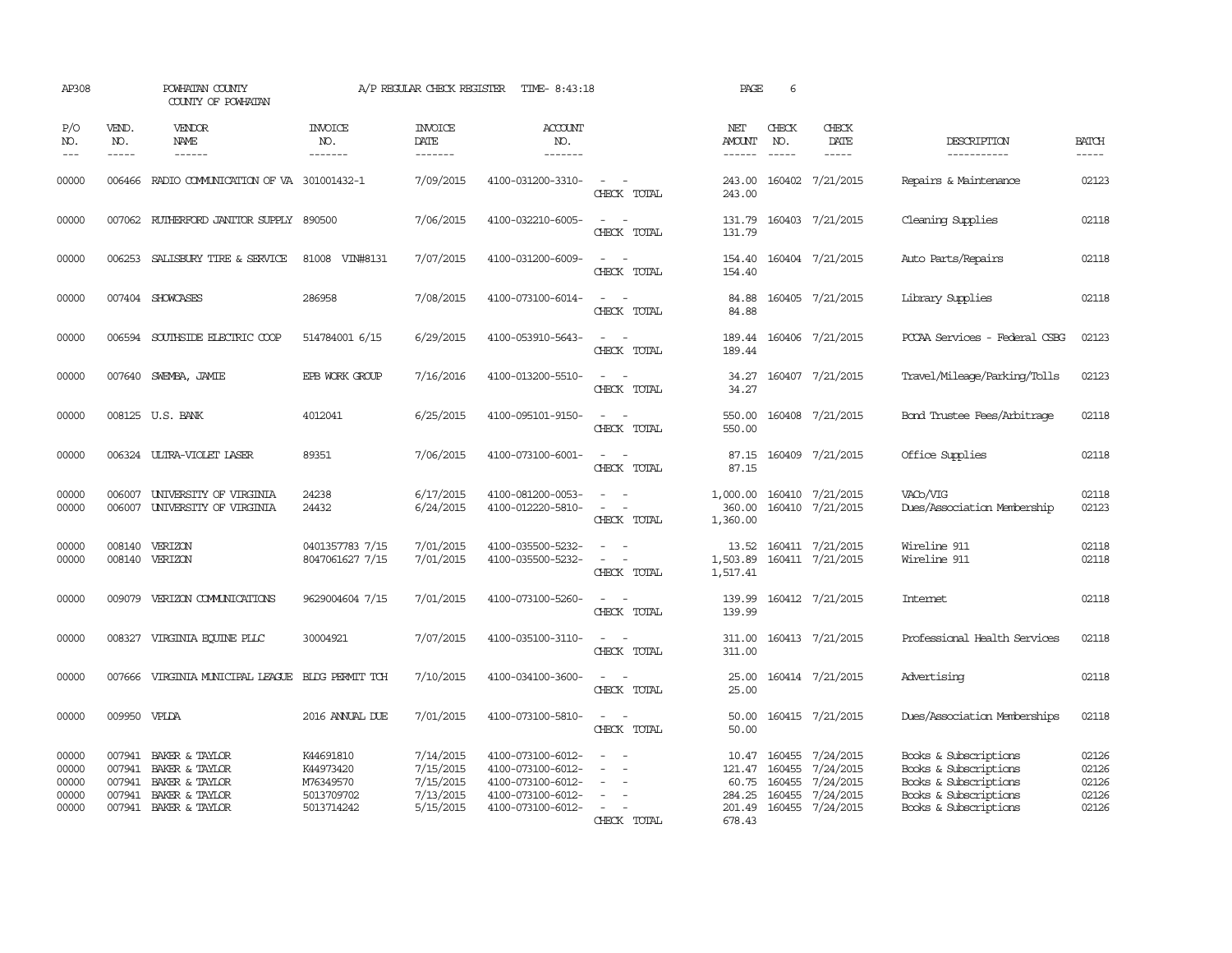| AP308                                     |                               | POWHATAN COUNTY<br>COUNTY OF POWHATAN                                                                       |                                                                 | A/P REGULAR CHECK REGISTER                                    | TIME- 8:43:18                                                                                         |                                                     | PAGE                                         | 6                                 |                                                                             |                                                                                                                           |                                           |
|-------------------------------------------|-------------------------------|-------------------------------------------------------------------------------------------------------------|-----------------------------------------------------------------|---------------------------------------------------------------|-------------------------------------------------------------------------------------------------------|-----------------------------------------------------|----------------------------------------------|-----------------------------------|-----------------------------------------------------------------------------|---------------------------------------------------------------------------------------------------------------------------|-------------------------------------------|
| P/O<br>NO.<br>$ -$                        | VEND.<br>NO.<br>$\frac{1}{2}$ | VENDOR<br>NAME                                                                                              | <b>INVOICE</b><br>NO.<br>-------                                | <b>INVOICE</b><br>DATE<br>--------                            | ACCOUNT<br>NO.<br>-------                                                                             |                                                     | NET<br><b>AMOUNT</b><br>$- - - - - -$        | CHECK<br>NO.<br>$\frac{1}{2}$     | CHECK<br>DATE                                                               | DESCRIPTION<br>-----------                                                                                                | <b>BATCH</b><br>-----                     |
| 00000                                     |                               | 006466 RADIO COMMUNICATION OF VA 301001432-1                                                                |                                                                 | 7/09/2015                                                     | 4100-031200-3310-                                                                                     | CHECK TOTAL                                         | 243.00<br>243.00                             |                                   | 160402 7/21/2015                                                            | Repairs & Maintenance                                                                                                     | 02123                                     |
| 00000                                     | 007062                        | RUTHERFORD JANITOR SUPPLY                                                                                   | 890500                                                          | 7/06/2015                                                     | 4100-032210-6005-                                                                                     | $\overline{\phantom{a}}$<br>CHECK TOTAL             | 131.79<br>131.79                             |                                   | 160403 7/21/2015                                                            | Cleaning Supplies                                                                                                         | 02118                                     |
| 00000                                     |                               | 006253 SALISBURY TIRE & SERVICE                                                                             | 81008 VIN#8131                                                  | 7/07/2015                                                     | 4100-031200-6009-                                                                                     | $\sim$<br>CHECK TOTAL                               | 154.40<br>154.40                             |                                   | 160404 7/21/2015                                                            | Auto Parts/Repairs                                                                                                        | 02118                                     |
| 00000                                     |                               | 007404 SHOWCASES                                                                                            | 286958                                                          | 7/08/2015                                                     | 4100-073100-6014-                                                                                     | $\sim$<br>CHECK TOTAL                               | 84.88<br>84.88                               |                                   | 160405 7/21/2015                                                            | Library Supplies                                                                                                          | 02118                                     |
| 00000                                     |                               | 006594 SOUTHSIDE ELECTRIC COOP                                                                              | 514784001 6/15                                                  | 6/29/2015                                                     | 4100-053910-5643-                                                                                     | $\sim$<br>CHECK TOTAL                               | 189.44<br>189.44                             |                                   | 160406 7/21/2015                                                            | PCCAA Services - Federal CSBG                                                                                             | 02123                                     |
| 00000                                     |                               | 007640 SWEMBA, JAMIE                                                                                        | EPB WORK GROUP                                                  | 7/16/2016                                                     | 4100-013200-5510-                                                                                     | $\equiv$<br>CHECK TOTAL                             | 34.27<br>34.27                               |                                   | 160407 7/21/2015                                                            | Travel/Mileage/Parking/Tolls                                                                                              | 02123                                     |
| 00000                                     |                               | 008125 U.S. BANK                                                                                            | 4012041                                                         | 6/25/2015                                                     | 4100-095101-9150-                                                                                     | $\sim$ 100 $\mu$<br>CHECK TOTAL                     | 550.00<br>550.00                             |                                   | 160408 7/21/2015                                                            | Bond Trustee Fees/Arbitrage                                                                                               | 02118                                     |
| 00000                                     |                               | 006324 ULTRA-VIOLET LASER                                                                                   | 89351                                                           | 7/06/2015                                                     | 4100-073100-6001-                                                                                     | $\sim$ 10 $\sim$<br>CHECK TOTAL                     | 87.15                                        |                                   | 87.15 160409 7/21/2015                                                      | Office Supplies                                                                                                           | 02118                                     |
| 00000<br>00000                            | 006007                        | 006007 UNIVERSITY OF VIRGINIA<br>UNIVERSITY OF VIRGINIA                                                     | 24238<br>24432                                                  | 6/17/2015<br>6/24/2015                                        | 4100-081200-0053-<br>4100-012220-5810-                                                                | $\sim$<br>$\sim$<br>$\sim$<br>$\sim$<br>CHECK TOTAL | 1,000.00<br>360.00<br>1,360.00               |                                   | 160410 7/21/2015<br>160410 7/21/2015                                        | VAC <sub>b</sub> /VIG<br>Dues/Association Membership                                                                      | 02118<br>02123                            |
| 00000<br>00000                            | 008140                        | VERIZON<br>008140 VERIZON                                                                                   | 0401357783 7/15<br>8047061627 7/15                              | 7/01/2015<br>7/01/2015                                        | 4100-035500-5232-<br>4100-035500-5232-                                                                | $\sim$<br>CHECK TOTAL                               | 13.52<br>1,503.89<br>1,517.41                |                                   | 160411 7/21/2015<br>160411 7/21/2015                                        | Wireline 911<br>Wireline 911                                                                                              | 02118<br>02118                            |
| 00000                                     | 009079                        | VERIZON COMUNICATIONS                                                                                       | 9629004604 7/15                                                 | 7/01/2015                                                     | 4100-073100-5260-                                                                                     | CHECK TOTAL                                         | 139.99<br>139.99                             |                                   | 160412 7/21/2015                                                            | Intemet                                                                                                                   | 02118                                     |
| 00000                                     | 008327                        | VIRGINIA EQUINE PLLC                                                                                        | 30004921                                                        | 7/07/2015                                                     | 4100-035100-3110-                                                                                     | CHECK TOTAL                                         | 311.00<br>311.00                             |                                   | 160413 7/21/2015                                                            | Professional Health Services                                                                                              | 02118                                     |
| 00000                                     | 007666                        | VIRGINIA MUNICIPAL LEAGUE                                                                                   | BIDG PERMIT TCH                                                 | 7/10/2015                                                     | 4100-034100-3600-                                                                                     | CHECK TOTAL                                         | 25.00<br>25.00                               |                                   | 160414 7/21/2015                                                            | Advertising                                                                                                               | 02118                                     |
| 00000                                     | 009950 VPLDA                  |                                                                                                             | 2016 ANNUAL DUE                                                 | 7/01/2015                                                     | 4100-073100-5810-                                                                                     | $\sim$<br>CHECK TOTAL                               | 50.00<br>50.00                               |                                   | 160415 7/21/2015                                                            | Dues/Association Memberships                                                                                              | 02118                                     |
| 00000<br>00000<br>00000<br>00000<br>00000 | 007941<br>007941              | 007941 BAKER & TAYLOR<br>007941 BAKER & TAYLOR<br>BAKER & TAYLOR<br>BAKER & TAYLOR<br>007941 BAKER & TAYLOR | K44691810<br>K44973420<br>M76349570<br>5013709702<br>5013714242 | 7/14/2015<br>7/15/2015<br>7/15/2015<br>7/13/2015<br>5/15/2015 | 4100-073100-6012-<br>4100-073100-6012-<br>4100-073100-6012-<br>4100-073100-6012-<br>4100-073100-6012- | $\sim$<br>CHECK TOTAL                               | 10.47<br>60.75<br>284.25<br>201.49<br>678.43 | 121.47 160455<br>160455<br>160455 | 160455 7/24/2015<br>7/24/2015<br>7/24/2015<br>7/24/2015<br>160455 7/24/2015 | Books & Subscriptions<br>Books & Subscriptions<br>Books & Subscriptions<br>Books & Subscriptions<br>Books & Subscriptions | 02126<br>02126<br>02126<br>02126<br>02126 |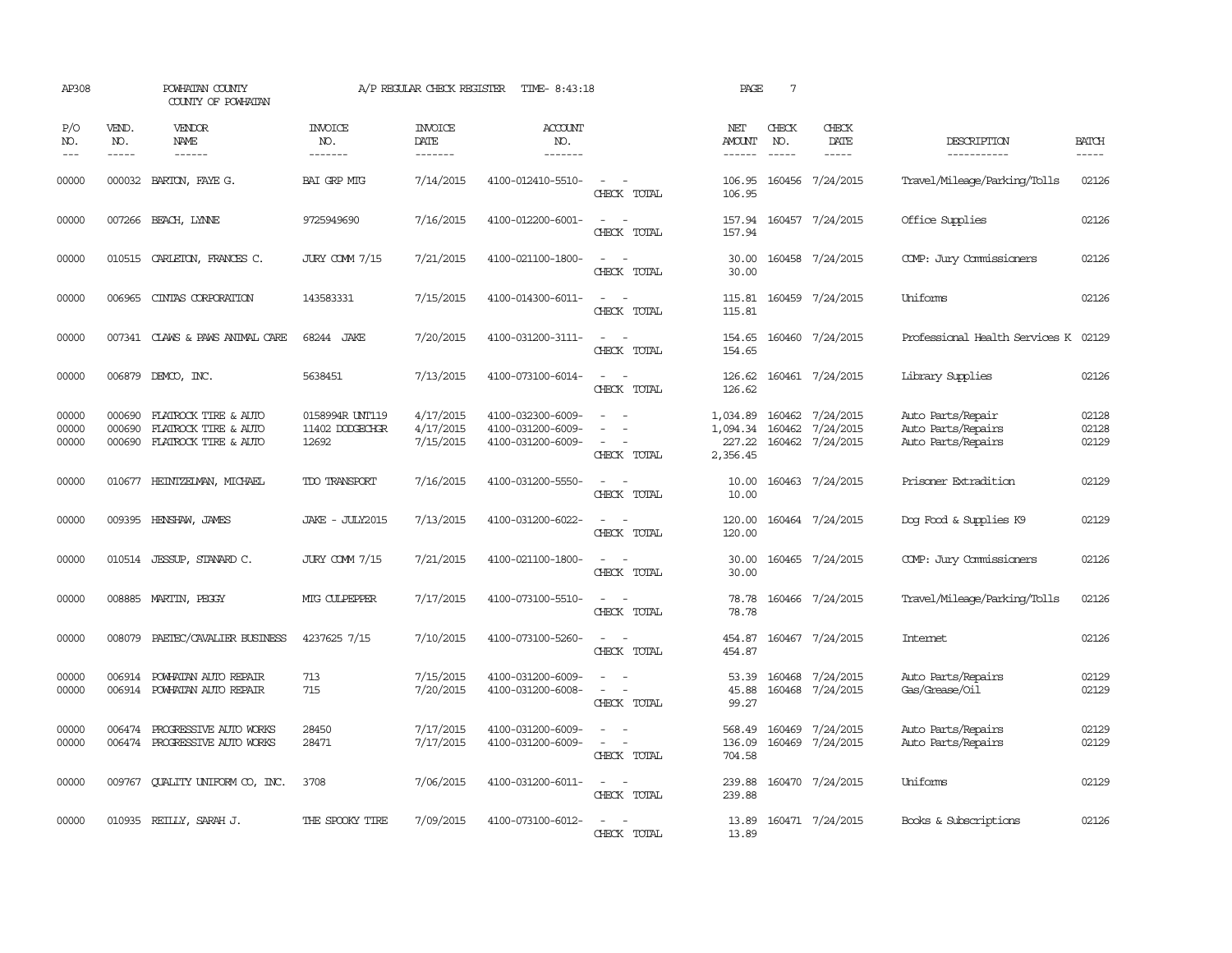| AP308                   |                               | POWHATAN COUNTY<br>COUNTY OF POWHATAN                                |                                             | A/P REGULAR CHECK REGISTER                | TIME- 8:43:18                                               |                                                                                                                                          | PAGE                                       | $7\phantom{.0}$               |                                            |                                                               |                             |
|-------------------------|-------------------------------|----------------------------------------------------------------------|---------------------------------------------|-------------------------------------------|-------------------------------------------------------------|------------------------------------------------------------------------------------------------------------------------------------------|--------------------------------------------|-------------------------------|--------------------------------------------|---------------------------------------------------------------|-----------------------------|
| P/O<br>NO.<br>$- - -$   | VEND.<br>NO.<br>$\frac{1}{2}$ | <b>VENDOR</b><br>NAME<br>$- - - - - -$                               | <b>INVOICE</b><br>NO.<br>-------            | <b>INVOICE</b><br>DATE<br>$- - - - - - -$ | <b>ACCOUNT</b><br>NO.<br>-------                            |                                                                                                                                          | NET<br>AMOUNT<br>-------                   | CHECK<br>NO.<br>$\frac{1}{2}$ | CHECK<br>DATE<br>$- - - - -$               | DESCRIPTION<br>-----------                                    | <b>BATCH</b><br>$- - - - -$ |
| 00000                   | 000032                        | BARION, FAYEG.                                                       | <b>BAI GRP MIG</b>                          | 7/14/2015                                 | 4100-012410-5510-                                           | $\sim$ $ \sim$<br>CHECK TOTAL                                                                                                            | 106.95<br>106.95                           |                               | 160456 7/24/2015                           | Travel/Mileage/Parking/Tolls                                  | 02126                       |
| 00000                   |                               | 007266 BEACH, LYNNE                                                  | 9725949690                                  | 7/16/2015                                 | 4100-012200-6001-                                           | $\overline{\phantom{a}}$<br>$\equiv$<br>CHECK TOTAL                                                                                      | 157.94<br>157.94                           |                               | 160457 7/24/2015                           | Office Supplies                                               | 02126                       |
| 00000                   |                               | 010515 CARLETON, FRANCES C.                                          | <b>JURY COMM 7/15</b>                       | 7/21/2015                                 | 4100-021100-1800-                                           | $ -$<br>CHECK TOTAL                                                                                                                      | 30.00<br>30.00                             |                               | 160458 7/24/2015                           | COMP: Jury Commissioners                                      | 02126                       |
| 00000                   | 006965                        | CINIAS CORPORATION                                                   | 143583331                                   | 7/15/2015                                 | 4100-014300-6011-                                           | $\sim$ 100 $\sim$<br>CHECK TOTAL                                                                                                         | 115.81                                     |                               | 115.81 160459 7/24/2015                    | Uniforms                                                      | 02126                       |
| 00000                   |                               | 007341 CLAWS & PAWS ANIMAL CARE                                      | 68244 JAKE                                  | 7/20/2015                                 | 4100-031200-3111-                                           | $ -$<br>CHECK TOTAL                                                                                                                      | 154.65<br>154.65                           |                               | 160460 7/24/2015                           | Professional Health Services K 02129                          |                             |
| 00000                   | 006879                        | DEMCO, INC.                                                          | 5638451                                     | 7/13/2015                                 | 4100-073100-6014-                                           | $\sim$<br>$\sim$<br>CHECK TOTAL                                                                                                          | 126.62<br>126.62                           |                               | 160461 7/24/2015                           | Library Supplies                                              | 02126                       |
| 00000<br>00000<br>00000 | 000690<br>000690<br>000690    | FLATROCK TIRE & AUTO<br>FLATROCK TIRE & AUTO<br>FLATROCK TIRE & AUTO | 0158994R UNT119<br>11402 DODGECHGR<br>12692 | 4/17/2015<br>4/17/2015<br>7/15/2015       | 4100-032300-6009-<br>4100-031200-6009-<br>4100-031200-6009- | $\equiv$<br>$\equiv$<br>$\sim$ 100 $\mu$<br>CHECK TOTAL                                                                                  | 1,034.89<br>1,094.34<br>227.22<br>2,356.45 | 160462<br>160462              | 7/24/2015<br>7/24/2015<br>160462 7/24/2015 | Auto Parts/Repair<br>Auto Parts/Repairs<br>Auto Parts/Repairs | 02128<br>02128<br>02129     |
| 00000                   |                               | 010677 HEINTZELMAN, MICHAEL                                          | TDO TRANSPORT                               | 7/16/2015                                 | 4100-031200-5550-                                           | $ -$<br>CHECK TOTAL                                                                                                                      | 10.00<br>10.00                             |                               | 160463 7/24/2015                           | Prisoner Extradition                                          | 02129                       |
| 00000                   | 009395                        | HENSHAW, JAMES                                                       | JAKE - JULY2015                             | 7/13/2015                                 | 4100-031200-6022-                                           | $\equiv$<br>CHECK TOTAL                                                                                                                  | 120.00<br>120.00                           |                               | 160464 7/24/2015                           | Dog Food & Supplies K9                                        | 02129                       |
| 00000                   |                               | 010514 JESSUP, STANARD C.                                            | <b>JURY COMM 7/15</b>                       | 7/21/2015                                 | 4100-021100-1800-                                           | $\sim$<br>CHECK TOTAL                                                                                                                    | 30.00<br>30.00                             |                               | 160465 7/24/2015                           | COMP: Jury Commissioners                                      | 02126                       |
| 00000                   | 008885                        | MARTIN, PEGGY                                                        | MIG CULPEPPER                               | 7/17/2015                                 | 4100-073100-5510-                                           | $\frac{1}{2} \left( \frac{1}{2} \right) \left( \frac{1}{2} \right) \left( \frac{1}{2} \right) \left( \frac{1}{2} \right)$<br>CHECK TOTAL | 78.78<br>78.78                             |                               | 160466 7/24/2015                           | Travel/Mileage/Parking/Tolls                                  | 02126                       |
| 00000                   | 008079                        | PAETEC/CAVALIER BUSINESS                                             | 4237625 7/15                                | 7/10/2015                                 | 4100-073100-5260-                                           | $\sim$<br>CHECK TOTAL                                                                                                                    | 454.87<br>454.87                           |                               | 160467 7/24/2015                           | Internet                                                      | 02126                       |
| 00000<br>00000          | 006914                        | POWHATAN AUTO REPAIR<br>006914 POWHATAN AUTO REPAIR                  | 713<br>715                                  | 7/15/2015<br>7/20/2015                    | 4100-031200-6009-<br>4100-031200-6008-                      | $\equiv$<br>$\sim$<br>CHECK TOTAL                                                                                                        | 53.39<br>45.88<br>99.27                    | 160468                        | 7/24/2015<br>160468 7/24/2015              | Auto Parts/Repairs<br>Gas/Grease/Oil                          | 02129<br>02129              |
| 00000<br>00000          | 006474<br>006474              | PROGRESSIVE AUTO WORKS<br>PROGRESSIVE AUTO WORKS                     | 28450<br>28471                              | 7/17/2015<br>7/17/2015                    | 4100-031200-6009-<br>4100-031200-6009-                      | $\overline{\phantom{a}}$<br>$\equiv$<br>CHECK TOTAL                                                                                      | 568.49<br>136.09<br>704.58                 | 160469                        | 7/24/2015<br>160469 7/24/2015              | Auto Parts/Repairs<br>Auto Parts/Repairs                      | 02129<br>02129              |
| 00000                   |                               | 009767 QUALITY UNIFORM CO, INC.                                      | 3708                                        | 7/06/2015                                 | 4100-031200-6011-                                           | $ -$<br>CHECK TOTAL                                                                                                                      | 239.88<br>239.88                           |                               | 160470 7/24/2015                           | Uniforms                                                      | 02129                       |
| 00000                   |                               | 010935 REILLY, SARAH J.                                              | THE SPOOKY TIRE                             | 7/09/2015                                 | 4100-073100-6012-                                           | $\sim$ 100 $\mu$<br>$\overline{\phantom{a}}$<br>CHECK TOTAL                                                                              | 13.89<br>13.89                             |                               | 160471 7/24/2015                           | Books & Subscriptions                                         | 02126                       |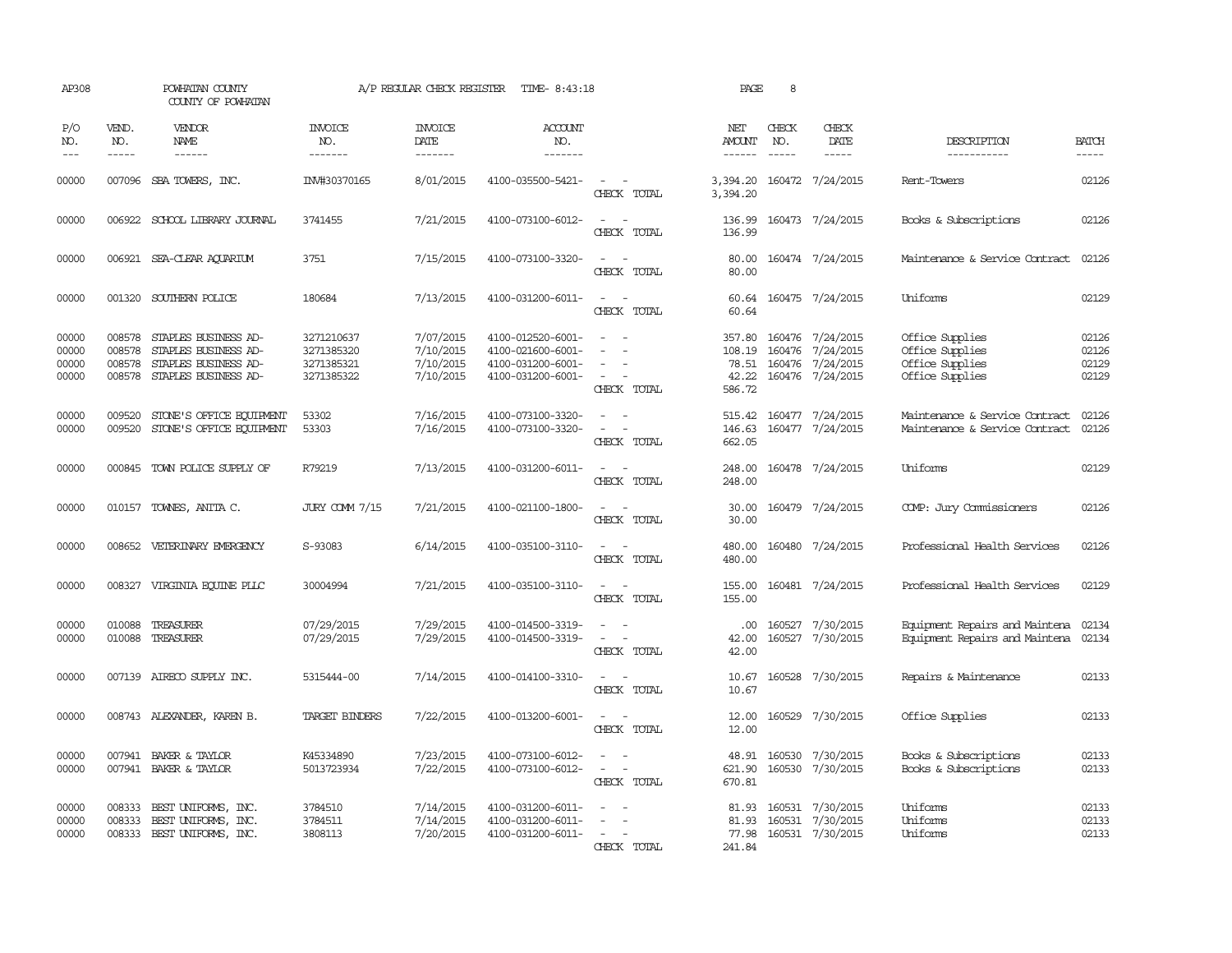| AP308                            |                                      | POWHATAN COUNTY<br>COUNTY OF POWHATAN                                                        |                                                      | A/P REGULAR CHECK REGISTER                       | TIME- 8:43:18                                                                    |                                                                                                                             | PAGE                                         | 8             |                                                                       |                                                                          |                                  |
|----------------------------------|--------------------------------------|----------------------------------------------------------------------------------------------|------------------------------------------------------|--------------------------------------------------|----------------------------------------------------------------------------------|-----------------------------------------------------------------------------------------------------------------------------|----------------------------------------------|---------------|-----------------------------------------------------------------------|--------------------------------------------------------------------------|----------------------------------|
| P/O<br>NO.                       | VEND.<br>NO.                         | VENDOR<br>NAME                                                                               | <b>INVOICE</b><br>NO.                                | <b>INVOICE</b><br>DATE                           | <b>ACCOUNT</b><br>NO.                                                            |                                                                                                                             | NET<br>AMOUNT                                | CHECK<br>NO.  | CHECK<br>DATE                                                         | DESCRIPTION                                                              | <b>BATCH</b>                     |
| $---$                            | $\frac{1}{2}$                        | ------                                                                                       | -------                                              | -------                                          | -------                                                                          |                                                                                                                             | $- - - - - -$                                | $\frac{1}{2}$ | $\cdots$                                                              | -----------                                                              | $\cdots$                         |
| 00000                            |                                      | 007096 SBA TOWERS, INC.                                                                      | INV#30370165                                         | 8/01/2015                                        | 4100-035500-5421-                                                                | $\frac{1}{2} \left( \frac{1}{2} \right) \left( \frac{1}{2} \right) = \frac{1}{2} \left( \frac{1}{2} \right)$<br>CHECK TOTAL | 3,394.20                                     |               | 3,394.20 160472 7/24/2015                                             | Rent-Towers                                                              | 02126                            |
| 00000                            |                                      | 006922 SCHOOL LIBRARY JOURNAL                                                                | 3741455                                              | 7/21/2015                                        | 4100-073100-6012-                                                                | $\equiv$<br>$\sim$<br>CHECK TOTAL                                                                                           | 136.99<br>136.99                             |               | 160473 7/24/2015                                                      | Books & Subscriptions                                                    | 02126                            |
| 00000                            |                                      | 006921 SEA-CLEAR AQUARIUM                                                                    | 3751                                                 | 7/15/2015                                        | 4100-073100-3320-                                                                | $\sim$<br>$\sim$<br>CHECK TOTAL                                                                                             | 80.00<br>80.00                               |               | 160474 7/24/2015                                                      | Maintenance & Service Contract                                           | 02126                            |
| 00000                            |                                      | 001320 SOUTHERN POLICE                                                                       | 180684                                               | 7/13/2015                                        | 4100-031200-6011-                                                                | $\overline{\phantom{a}}$<br>CHECK TOTAL                                                                                     | 60.64<br>60.64                               |               | 160475 7/24/2015                                                      | Uniforms                                                                 | 02129                            |
| 00000<br>00000<br>00000<br>00000 | 008578<br>008578<br>008578<br>008578 | STAPLES BUSINESS AD-<br>STAPLES BUSINESS AD-<br>STAPLES BUSINESS AD-<br>STAPLES BUSINESS AD- | 3271210637<br>3271385320<br>3271385321<br>3271385322 | 7/07/2015<br>7/10/2015<br>7/10/2015<br>7/10/2015 | 4100-012520-6001-<br>4100-021600-6001-<br>4100-031200-6001-<br>4100-031200-6001- | $\sim$<br>CHECK TOTAL                                                                                                       | 357.80<br>108.19<br>78.51<br>42.22<br>586.72 | 160476        | 160476 7/24/2015<br>7/24/2015<br>160476 7/24/2015<br>160476 7/24/2015 | Office Supplies<br>Office Supplies<br>Office Supplies<br>Office Supplies | 02126<br>02126<br>02129<br>02129 |
| 00000<br>00000                   | 009520<br>009520                     | STONE'S OFFICE EQUIPMENT<br>STONE'S OFFICE EQUIPMENT                                         | 53302<br>53303                                       | 7/16/2015<br>7/16/2015                           | 4100-073100-3320-<br>4100-073100-3320-                                           | $\sim$<br>$\equiv$<br>CHECK TOTAL                                                                                           | 515.42<br>146.63<br>662.05                   |               | 160477 7/24/2015<br>160477 7/24/2015                                  | Maintenance & Service Contract<br>Maintenance & Service Contract         | 02126<br>02126                   |
| 00000                            |                                      | 000845 TOWN POLICE SUPPLY OF                                                                 | R79219                                               | 7/13/2015                                        | 4100-031200-6011-                                                                | $\sim$ $\sim$<br>CHECK TOTAL                                                                                                | 248.00<br>248.00                             |               | 160478 7/24/2015                                                      | Uniforms                                                                 | 02129                            |
| 00000                            |                                      | 010157 TOWNES, ANITA C.                                                                      | <b>JURY COMM 7/15</b>                                | 7/21/2015                                        | 4100-021100-1800-                                                                | $\frac{1}{2} \left( \frac{1}{2} \right) \left( \frac{1}{2} \right) = \frac{1}{2} \left( \frac{1}{2} \right)$<br>CHECK TOTAL | 30.00<br>30.00                               |               | 160479 7/24/2015                                                      | COMP: Jury Commissioners                                                 | 02126                            |
| 00000                            |                                      | 008652 VETERINARY EMERGENCY                                                                  | S-93083                                              | 6/14/2015                                        | 4100-035100-3110-                                                                | $\sim$ $\sim$<br>CHECK TOTAL                                                                                                | 480.00<br>480.00                             |               | 160480 7/24/2015                                                      | Professional Health Services                                             | 02126                            |
| 00000                            | 008327                               | VIRGINIA EQUINE PLLC                                                                         | 30004994                                             | 7/21/2015                                        | 4100-035100-3110-                                                                | $\equiv$<br>CHECK TOTAL                                                                                                     | 155.00<br>155.00                             |               | 160481 7/24/2015                                                      | Professional Health Services                                             | 02129                            |
| 00000<br>00000                   | 010088<br>010088                     | TREASURER<br>TREASURER                                                                       | 07/29/2015<br>07/29/2015                             | 7/29/2015<br>7/29/2015                           | 4100-014500-3319-<br>4100-014500-3319-                                           | $\sim$<br>CHECK TOTAL                                                                                                       | .00.<br>42.00<br>42.00                       |               | 160527 7/30/2015<br>160527 7/30/2015                                  | Equipment Repairs and Maintena<br>Equipment Repairs and Maintena         | 02134<br>02134                   |
| 00000                            |                                      | 007139 AIRECO SUPPLY INC.                                                                    | 5315444-00                                           | 7/14/2015                                        | 4100-014100-3310-                                                                | $\overline{\phantom{a}}$<br>CHECK TOTAL                                                                                     | 10.67<br>10.67                               |               | 160528 7/30/2015                                                      | Repairs & Maintenance                                                    | 02133                            |
| 00000                            |                                      | 008743 ALEXANDER, KAREN B.                                                                   | <b>TARGET BINDERS</b>                                | 7/22/2015                                        | 4100-013200-6001-                                                                | $\overline{\phantom{a}}$<br>CHECK TOTAL                                                                                     | 12.00<br>12.00                               |               | 160529 7/30/2015                                                      | Office Supplies                                                          | 02133                            |
| 00000<br>00000                   | 007941                               | BAKER & TAYLOR<br>007941 BAKER & TAYLOR                                                      | K45334890<br>5013723934                              | 7/23/2015<br>7/22/2015                           | 4100-073100-6012-<br>4100-073100-6012-                                           | $\equiv$<br>$\equiv$<br>CHECK TOTAL                                                                                         | 48.91<br>621.90<br>670.81                    |               | 160530 7/30/2015<br>160530 7/30/2015                                  | Books & Subscriptions<br>Books & Subscriptions                           | 02133<br>02133                   |
| 00000<br>00000<br>00000          | 008333<br>008333                     | BEST UNIFORMS, INC.<br>BEST UNIFORMS, INC.<br>008333 BEST UNIFORMS, INC.                     | 3784510<br>3784511<br>3808113                        | 7/14/2015<br>7/14/2015<br>7/20/2015              | 4100-031200-6011-<br>4100-031200-6011-<br>4100-031200-6011-                      | $\overline{\phantom{a}}$<br>$\equiv$<br>$\sim$ 10 $\,$<br>CHECK TOTAL                                                       | 81.93<br>81.93<br>77.98<br>241.84            | 160531        | 160531 7/30/2015<br>7/30/2015<br>160531 7/30/2015                     | Uniforms<br>Uniforms<br>Uniforms                                         | 02133<br>02133<br>02133          |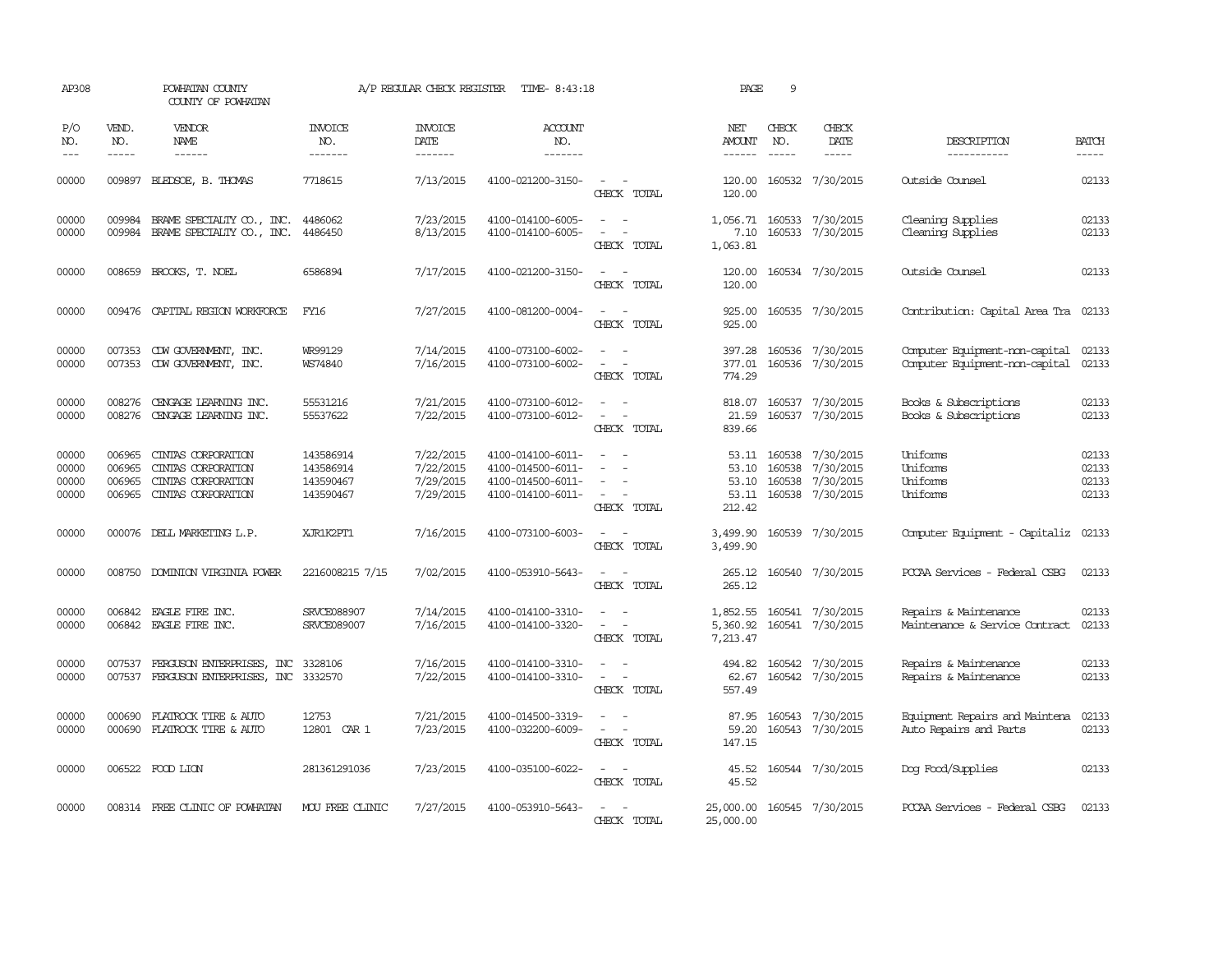| AP308                            |                             | POWHATAN COUNTY<br>COUNTY OF POWHATAN                                                       |                                                  | A/P REGULAR CHECK REGISTER                       | TIME- 8:43:18                                                                    |                                                                           | PAGE                              | 9                                |                                                         |                                                                  |                                  |
|----------------------------------|-----------------------------|---------------------------------------------------------------------------------------------|--------------------------------------------------|--------------------------------------------------|----------------------------------------------------------------------------------|---------------------------------------------------------------------------|-----------------------------------|----------------------------------|---------------------------------------------------------|------------------------------------------------------------------|----------------------------------|
| P/O<br>NO.<br>$---$              | VEND.<br>NO.<br>$- - - - -$ | <b>VENDOR</b><br>NAME<br>$- - - - - -$                                                      | <b>INVOICE</b><br>NO.<br>-------                 | <b>INVOICE</b><br>DATE<br>-------                | <b>ACCOUNT</b><br>NO.<br>-------                                                 |                                                                           | NET<br>AMOUNT<br>$- - - - - -$    | CHECK<br>NO.<br>$- - - - -$      | CHECK<br>DATE<br>-----                                  | DESCRIPTION<br>-----------                                       | <b>BATCH</b><br>$- - - - -$      |
| 00000                            | 009897                      | BLEDSOE, B. THOMAS                                                                          | 7718615                                          | 7/13/2015                                        | 4100-021200-3150-                                                                | $\overline{a}$<br>CHECK TOTAL                                             | 120.00<br>120.00                  |                                  | 160532 7/30/2015                                        | Outside Counsel                                                  | 02133                            |
| 00000<br>00000                   | 009984                      | BRAME SPECIALITY CO., INC.<br>009984 BRAME SPECIALITY CO., INC. 4486450                     | 4486062                                          | 7/23/2015<br>8/13/2015                           | 4100-014100-6005-<br>4100-014100-6005-                                           | $\omega_{\rm{max}}$ and $\omega_{\rm{max}}$<br>$\sim$ $ -$<br>CHECK TOTAL | 1,056.71<br>7.10<br>1,063.81      |                                  | 160533 7/30/2015<br>160533 7/30/2015                    | Cleaning Supplies<br>Cleaning Supplies                           | 02133<br>02133                   |
| 00000                            |                             | 008659 BROOKS, T. NOEL                                                                      | 6586894                                          | 7/17/2015                                        | 4100-021200-3150-                                                                | CHECK TOTAL                                                               | 120.00<br>120.00                  |                                  | 160534 7/30/2015                                        | Outside Counsel                                                  | 02133                            |
| 00000                            |                             | 009476 CAPITAL REGION WORKFORCE                                                             | FY16                                             | 7/27/2015                                        | 4100-081200-0004-                                                                | $\overline{\phantom{a}}$<br>- -<br>CHECK TOTAL                            | 925.00<br>925.00                  |                                  | 160535 7/30/2015                                        | Contribution: Capital Area Tra 02133                             |                                  |
| 00000<br>00000                   | 007353                      | CDW GOVERNMENT, INC.<br>007353 CDW GOVERNMENT, INC.                                         | WR99129<br>WS74840                               | 7/14/2015<br>7/16/2015                           | 4100-073100-6002-<br>4100-073100-6002-                                           | CHECK TOTAL                                                               | 397.28<br>377.01<br>774.29        |                                  | 160536 7/30/2015<br>160536 7/30/2015                    | Computer Equipment-non-capital<br>Computer Equipment-non-capital | 02133<br>02133                   |
| 00000<br>00000                   | 008276                      | CENGAGE LEARNING INC.<br>008276 CENGAGE LEARNING INC.                                       | 55531216<br>55537622                             | 7/21/2015<br>7/22/2015                           | 4100-073100-6012-<br>4100-073100-6012-                                           | $\sim$ $ \sim$<br>CHECK TOTAL                                             | 818.07<br>21.59<br>839.66         |                                  | 160537 7/30/2015<br>160537 7/30/2015                    | Books & Subscriptions<br>Books & Subscriptions                   | 02133<br>02133                   |
| 00000<br>00000<br>00000<br>00000 | 006965<br>006965<br>006965  | CINIAS CORPORATION<br>CINIAS CORPORATION<br>CINIAS CORPORATION<br>006965 CINIAS CORPORATION | 143586914<br>143586914<br>143590467<br>143590467 | 7/22/2015<br>7/22/2015<br>7/29/2015<br>7/29/2015 | 4100-014100-6011-<br>4100-014500-6011-<br>4100-014500-6011-<br>4100-014100-6011- | $\equiv$<br>$\sim$<br>$\sim$ 100 $\mu$<br>$\sim$<br>CHECK TOTAL           | 53.10<br>53.10<br>53.11<br>212.42 | 53.11 160538<br>160538<br>160538 | 7/30/2015<br>7/30/2015<br>7/30/2015<br>160538 7/30/2015 | Uniforms<br>Uniforms<br>Uniforms<br>Uniforms                     | 02133<br>02133<br>02133<br>02133 |
| 00000                            |                             | 000076 DELL MARKETING L.P.                                                                  | XJR1K2PT1                                        | 7/16/2015                                        | 4100-073100-6003-                                                                | $\sim$ $ -$<br>CHECK TOTAL                                                | 3,499.90<br>3,499.90              |                                  | 160539 7/30/2015                                        | Computer Equipment - Capitaliz 02133                             |                                  |
| 00000                            |                             | 008750 DOMINION VIRGINIA POWER                                                              | 2216008215 7/15                                  | 7/02/2015                                        | 4100-053910-5643-                                                                | CHECK TOTAL                                                               | 265.12<br>265.12                  |                                  | 160540 7/30/2015                                        | PCCAA Services - Federal CSBG                                    | 02133                            |
| 00000<br>00000                   | 006842                      | EAGLE FIRE INC.<br>006842 EAGLE FIRE INC.                                                   | SRVCE088907<br>SRVCE089007                       | 7/14/2015<br>7/16/2015                           | 4100-014100-3310-<br>4100-014100-3320-                                           | CHECK TOTAL                                                               | 1,852.55<br>5,360.92<br>7,213.47  |                                  | 160541 7/30/2015<br>160541 7/30/2015                    | Repairs & Maintenance<br>Maintenance & Service Contract          | 02133<br>02133                   |
| 00000<br>00000                   | 007537                      | FERGUSON ENTERPRISES, INC<br>007537 FERGUSON ENTERPRISES, INC 3332570                       | 3328106                                          | 7/16/2015<br>7/22/2015                           | 4100-014100-3310-<br>4100-014100-3310-                                           | $\sim$ $ -$<br>CHECK TOTAL                                                | 494.82<br>62.67<br>557.49         |                                  | 160542 7/30/2015<br>160542 7/30/2015                    | Repairs & Maintenance<br>Repairs & Maintenance                   | 02133<br>02133                   |
| 00000<br>00000                   | 000690                      | FLATROCK TIRE & AUTO<br>000690 FLATROCK TIRE & AUTO                                         | 12753<br>12801 CAR 1                             | 7/21/2015<br>7/23/2015                           | 4100-014500-3319-<br>4100-032200-6009-                                           | $\equiv$<br>$\overline{\phantom{a}}$<br>CHECK TOTAL                       | 87.95<br>59.20<br>147.15          |                                  | 160543 7/30/2015<br>160543 7/30/2015                    | Equipment Repairs and Maintena<br>Auto Repairs and Parts         | 02133<br>02133                   |
| 00000                            |                             | 006522 FOOD LION                                                                            | 281361291036                                     | 7/23/2015                                        | 4100-035100-6022-                                                                | $ -$<br>CHECK TOTAL                                                       | 45.52<br>45.52                    |                                  | 160544 7/30/2015                                        | Dog Food/Supplies                                                | 02133                            |
| 00000                            |                             | 008314 FREE CLINIC OF POWHATAN                                                              | MOU FREE CLINIC                                  | 7/27/2015                                        | 4100-053910-5643-                                                                | CHECK TOTAL                                                               | 25,000.00<br>25,000.00            |                                  | 160545 7/30/2015                                        | PCCAA Services - Federal CSBG                                    | 02133                            |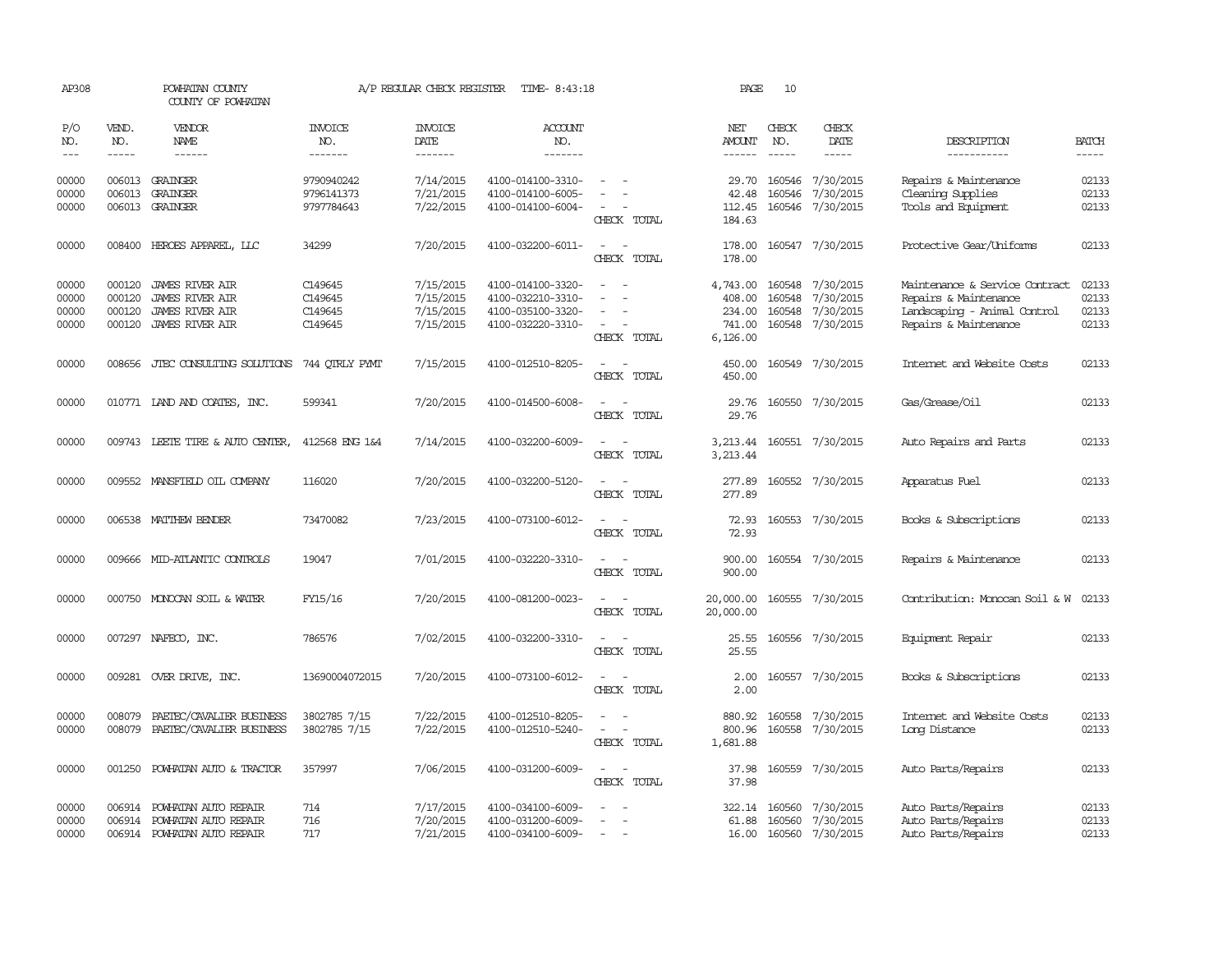| AP308                            |                                      | POWHATAN COUNTY<br>COUNTY OF POWHATAN                                              |                                          | A/P REGULAR CHECK REGISTER                       | TIME- 8:43:18                                                                    |                                                   | PAGE                                               | 10                          |                                                         |                                                                                                                  |                                  |
|----------------------------------|--------------------------------------|------------------------------------------------------------------------------------|------------------------------------------|--------------------------------------------------|----------------------------------------------------------------------------------|---------------------------------------------------|----------------------------------------------------|-----------------------------|---------------------------------------------------------|------------------------------------------------------------------------------------------------------------------|----------------------------------|
| P/O<br>NO.<br>$---$              | VEND.<br>NO.<br>$- - - - -$          | <b>VENDOR</b><br>NAME<br>$- - - - - -$                                             | <b>INVOICE</b><br>NO.<br>-------         | <b>INVOICE</b><br><b>DATE</b><br>-------         | <b>ACCOUNT</b><br>NO.<br>-------                                                 |                                                   | NET<br><b>AMOUNT</b><br>------                     | CHECK<br>NO.<br>$- - - - -$ | CHECK<br>DATE<br>-----                                  | DESCRIPTION<br>-----------                                                                                       | <b>BATCH</b><br>$- - - - -$      |
| 00000<br>00000<br>00000          | 006013                               | 006013 GRAINGER<br>GRAINGER<br>006013 GRAINGER                                     | 9790940242<br>9796141373<br>9797784643   | 7/14/2015<br>7/21/2015<br>7/22/2015              | 4100-014100-3310-<br>4100-014100-6005-<br>4100-014100-6004-                      | CHECK TOTAL                                       | 29.70<br>42.48<br>112.45<br>184.63                 | 160546<br>160546            | 7/30/2015<br>7/30/2015<br>160546 7/30/2015              | Repairs & Maintenance<br>Cleaning Supplies<br>Tools and Equipment                                                | 02133<br>02133<br>02133          |
| 00000                            |                                      | 008400 HEROES APPAREL, LLC                                                         | 34299                                    | 7/20/2015                                        | 4100-032200-6011-                                                                | CHECK TOTAL                                       | 178.00<br>178.00                                   |                             | 160547 7/30/2015                                        | Protective Gear/Uniforms                                                                                         | 02133                            |
| 00000<br>00000<br>00000<br>00000 | 000120<br>000120<br>000120<br>000120 | JAMES RIVER AIR<br><b>JAMES RIVER AIR</b><br>JAMES RIVER AIR<br>JAMES RIVER AIR    | C149645<br>C149645<br>C149645<br>C149645 | 7/15/2015<br>7/15/2015<br>7/15/2015<br>7/15/2015 | 4100-014100-3320-<br>4100-032210-3310-<br>4100-035100-3320-<br>4100-032220-3310- | CHECK TOTAL                                       | 4,743.00<br>408.00<br>234.00<br>741.00<br>6,126.00 | 160548<br>160548<br>160548  | 160548 7/30/2015<br>7/30/2015<br>7/30/2015<br>7/30/2015 | Maintenance & Service Contract<br>Repairs & Maintenance<br>Landscaping - Animal Control<br>Repairs & Maintenance | 02133<br>02133<br>02133<br>02133 |
| 00000                            | 008656                               | JTEC CONSULTING SOLUTIONS                                                          | 744 OTRLY PYMT                           | 7/15/2015                                        | 4100-012510-8205-                                                                | CHECK TOTAL                                       | 450.00<br>450.00                                   |                             | 160549 7/30/2015                                        | Internet and Website Costs                                                                                       | 02133                            |
| 00000                            |                                      | 010771 LAND AND COATES, INC.                                                       | 599341                                   | 7/20/2015                                        | 4100-014500-6008-                                                                | CHECK TOTAL                                       | 29.76<br>29.76                                     |                             | 160550 7/30/2015                                        | Gas/Grease/Oil                                                                                                   | 02133                            |
| 00000                            |                                      | 009743 LEETE TIRE & AUTO CENTER,                                                   | 412568 ENG 1&4                           | 7/14/2015                                        | 4100-032200-6009-                                                                | CHECK TOTAL                                       | 3,213.44<br>3,213.44                               |                             | 160551 7/30/2015                                        | Auto Repairs and Parts                                                                                           | 02133                            |
| 00000                            |                                      | 009552 MANSFIELD OIL COMPANY                                                       | 116020                                   | 7/20/2015                                        | 4100-032200-5120-                                                                | $\sim$<br>CHECK TOTAL                             | 277.89<br>277.89                                   |                             | 160552 7/30/2015                                        | Apparatus Fuel                                                                                                   | 02133                            |
| 00000                            |                                      | 006538 MATTHEW BENDER                                                              | 73470082                                 | 7/23/2015                                        | 4100-073100-6012-                                                                | $\sim$ $\sim$<br>CHECK TOTAL                      | 72.93<br>72.93                                     |                             | 160553 7/30/2015                                        | Books & Subscriptions                                                                                            | 02133                            |
| 00000                            |                                      | 009666 MID-ATLANTIC CONTROLS                                                       | 19047                                    | 7/01/2015                                        | 4100-032220-3310-                                                                | $\sim$<br>$\overline{\phantom{a}}$<br>CHECK TOTAL | 900.00<br>900.00                                   |                             | 160554 7/30/2015                                        | Repairs & Maintenance                                                                                            | 02133                            |
| 00000                            |                                      | 000750 MONOCAN SOIL & WATER                                                        | FY15/16                                  | 7/20/2015                                        | 4100-081200-0023-                                                                | CHECK TOTAL                                       | 20,000.00<br>20,000.00                             |                             | 160555 7/30/2015                                        | Contribution: Monocan Soil & W                                                                                   | 02133                            |
| 00000                            |                                      | 007297 NAFECO, INC.                                                                | 786576                                   | 7/02/2015                                        | 4100-032200-3310-                                                                | $\overline{\phantom{a}}$<br>CHECK TOTAL           | 25.55<br>25.55                                     |                             | 160556 7/30/2015                                        | Equipment Repair                                                                                                 | 02133                            |
| 00000                            |                                      | 009281 OVER DRIVE, INC.                                                            | 13690004072015                           | 7/20/2015                                        | 4100-073100-6012-                                                                | $\equiv$<br>$\sim$<br>CHECK TOTAL                 | 2.00<br>2.00                                       |                             | 160557 7/30/2015                                        | Books & Subscriptions                                                                                            | 02133                            |
| 00000<br>00000                   | 008079<br>008079                     | PAETEC/CAVALIER BUSINESS<br>PAETEC/CAVALIER BUSINESS                               | 3802785 7/15<br>3802785 7/15             | 7/22/2015<br>7/22/2015                           | 4100-012510-8205-<br>4100-012510-5240-                                           | CHECK TOTAL                                       | 880.92<br>800.96<br>1,681.88                       | 160558<br>160558            | 7/30/2015<br>7/30/2015                                  | Internet and Website Costs<br>Long Distance                                                                      | 02133<br>02133                   |
| 00000                            | 001250                               | POWHATAN AUTO & TRACTOR                                                            | 357997                                   | 7/06/2015                                        | 4100-031200-6009-                                                                | $\equiv$<br>CHECK TOTAL                           | 37.98<br>37.98                                     | 160559                      | 7/30/2015                                               | Auto Parts/Repairs                                                                                               | 02133                            |
| 00000<br>00000<br>00000          | 006914                               | POWHATAN AUTO REPAIR<br>006914 POWHATAN AUTO REPAIR<br>006914 POWHATAN AUTO REPAIR | 714<br>716<br>717                        | 7/17/2015<br>7/20/2015<br>7/21/2015              | 4100-034100-6009-<br>4100-031200-6009-<br>4100-034100-6009-                      |                                                   | 322.14<br>61.88<br>16.00                           | 160560<br>160560            | 7/30/2015<br>7/30/2015<br>160560 7/30/2015              | Auto Parts/Repairs<br>Auto Parts/Repairs<br>Auto Parts/Repairs                                                   | 02133<br>02133<br>02133          |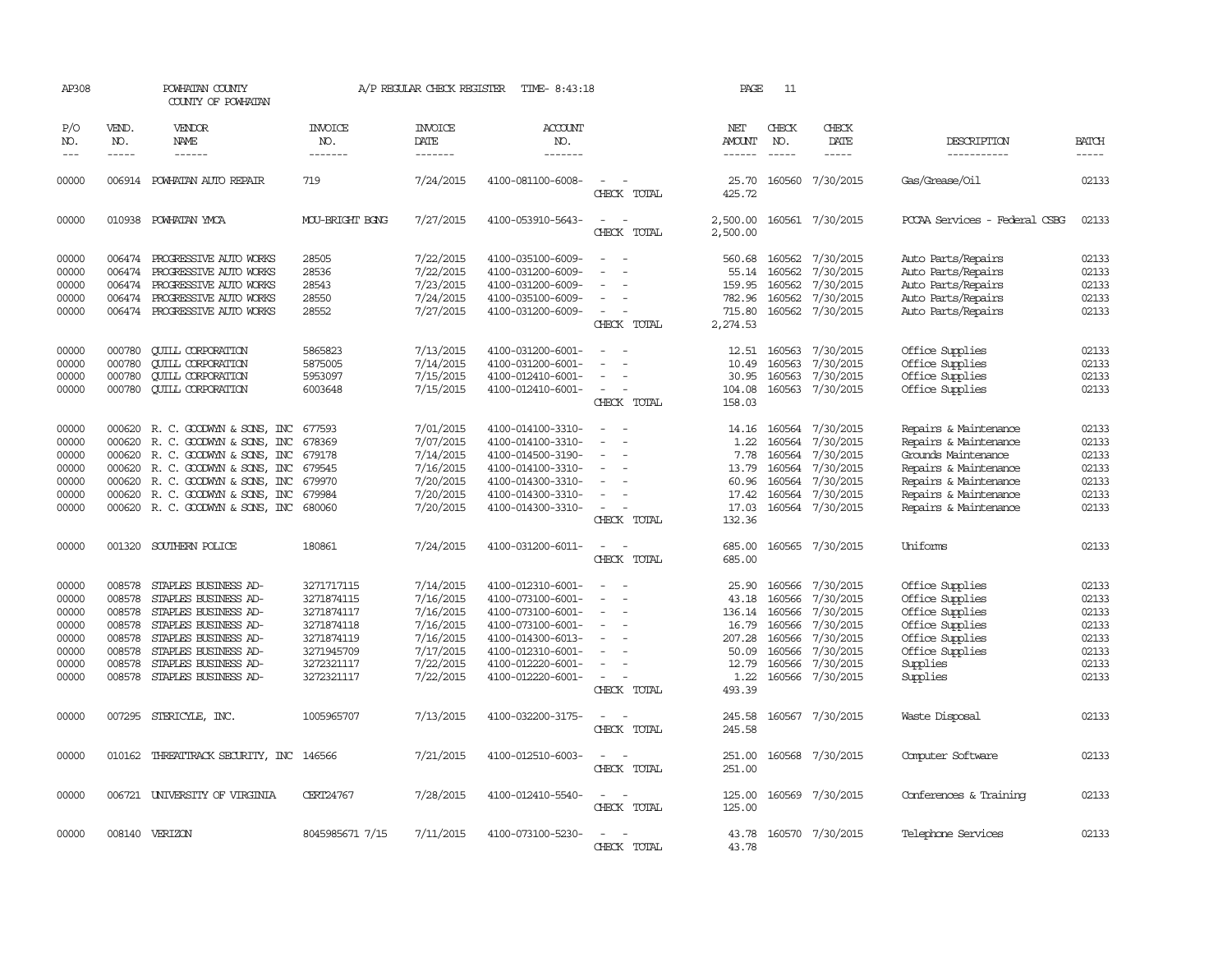| AP308                                                                |                                                                              | POWHATAN COUNTY<br>COUNTY OF POWHATAN                                                                                                                                                                                                     |                                                                                                              | A/P REGULAR CHECK REGISTER                                                                           | TIME- 8:43:18                                                                                                                                                        |                                                     | PAGE                                                                            | 11                                                                           |                                                                                                      |                                                                                                                                                                           |                                                                      |
|----------------------------------------------------------------------|------------------------------------------------------------------------------|-------------------------------------------------------------------------------------------------------------------------------------------------------------------------------------------------------------------------------------------|--------------------------------------------------------------------------------------------------------------|------------------------------------------------------------------------------------------------------|----------------------------------------------------------------------------------------------------------------------------------------------------------------------|-----------------------------------------------------|---------------------------------------------------------------------------------|------------------------------------------------------------------------------|------------------------------------------------------------------------------------------------------|---------------------------------------------------------------------------------------------------------------------------------------------------------------------------|----------------------------------------------------------------------|
| P/O<br>NO.<br>$\frac{1}{2}$                                          | VEND.<br>NO.<br>$- - - - -$                                                  | VENDOR<br>NAME<br>$- - - - - -$                                                                                                                                                                                                           | <b>INVOICE</b><br>NO.<br>-------                                                                             | <b>INVOICE</b><br>DATE<br>-------                                                                    | <b>ACCOUNT</b><br>NO.<br>-------                                                                                                                                     |                                                     | NET<br><b>AMOUNT</b>                                                            | CHECK<br>NO.<br>$\frac{1}{2}$                                                | CHECK<br>DATE<br>-----                                                                               | DESCRIPTION<br>-----------                                                                                                                                                | <b>BATCH</b><br>$- - - - -$                                          |
| 00000                                                                |                                                                              | 006914 POWHATAN AUTO REPAIR                                                                                                                                                                                                               | 719                                                                                                          | 7/24/2015                                                                                            | 4100-081100-6008-                                                                                                                                                    | CHECK TOTAL                                         | 25.70<br>425.72                                                                 |                                                                              | 160560 7/30/2015                                                                                     | Gas/Grease/0il                                                                                                                                                            | 02133                                                                |
| 00000                                                                |                                                                              | 010938 POWHATAN YMCA                                                                                                                                                                                                                      | MOU-BRIGHT BGNG                                                                                              | 7/27/2015                                                                                            | 4100-053910-5643-                                                                                                                                                    | $\sim$<br>CHECK TOTAL                               | 2,500.00<br>2,500.00                                                            |                                                                              | 160561 7/30/2015                                                                                     | PCCAA Services - Federal CSBG                                                                                                                                             | 02133                                                                |
| 00000<br>00000<br>00000<br>00000<br>00000                            | 006474                                                                       | 006474 PROGRESSIVE AUTO WORKS<br>PROGRESSIVE AUTO WORKS<br>006474 PROGRESSIVE AUTO WORKS<br>006474 PROGRESSIVE AUTO WORKS<br>006474 PROGRESSIVE AUTO WORKS                                                                                | 28505<br>28536<br>28543<br>28550<br>28552                                                                    | 7/22/2015<br>7/22/2015<br>7/23/2015<br>7/24/2015<br>7/27/2015                                        | 4100-035100-6009-<br>4100-031200-6009-<br>4100-031200-6009-<br>4100-035100-6009-<br>4100-031200-6009-                                                                | CHECK TOTAL                                         | 560.68<br>55.14<br>159.95<br>782.96<br>715.80<br>2,274.53                       | 160562<br>160562<br>160562<br>160562                                         | 7/30/2015<br>7/30/2015<br>7/30/2015<br>7/30/2015<br>160562 7/30/2015                                 | Auto Parts/Repairs<br>Auto Parts/Repairs<br>Auto Parts/Repairs<br>Auto Parts/Repairs<br>Auto Parts/Repairs                                                                | 02133<br>02133<br>02133<br>02133<br>02133                            |
| 00000<br>00000<br>00000<br>00000                                     | 000780<br>000780<br>000780<br>000780                                         | <b>QUILL CORPORATION</b><br><b>QUILL CORPORATION</b><br><b>CUILL CORPORATION</b><br><b>QUILL CORPORATION</b>                                                                                                                              | 5865823<br>5875005<br>5953097<br>6003648                                                                     | 7/13/2015<br>7/14/2015<br>7/15/2015<br>7/15/2015                                                     | 4100-031200-6001-<br>4100-031200-6001-<br>4100-012410-6001-<br>4100-012410-6001-                                                                                     | $\overline{\phantom{a}}$<br>$\equiv$<br>CHECK TOTAL | 12.51<br>10.49<br>30.95<br>104.08<br>158.03                                     | 160563<br>160563<br>160563<br>160563                                         | 7/30/2015<br>7/30/2015<br>7/30/2015<br>7/30/2015                                                     | Office Supplies<br>Office Supplies<br>Office Supplies<br>Office Supplies                                                                                                  | 02133<br>02133<br>02133<br>02133                                     |
| 00000<br>00000<br>00000<br>00000<br>00000<br>00000<br>00000          | 000620<br>000620                                                             | 000620 R. C. GOODWYN & SONS, INC<br>R. C. GOODWIN & SONS, INC<br>000620 R.C. GOODWYN & SONS, INC<br>000620 R. C. GOODWYN & SONS, INC<br>R. C. GOODWYN & SONS, INC<br>000620 R. C. GOODWYN & SONS, INC<br>000620 R. C. GOODWYN & SONS, INC | 677593<br>678369<br>679178<br>679545<br>679970<br>679984<br>680060                                           | 7/01/2015<br>7/07/2015<br>7/14/2015<br>7/16/2015<br>7/20/2015<br>7/20/2015<br>7/20/2015              | 4100-014100-3310-<br>4100-014100-3310-<br>4100-014500-3190-<br>4100-014100-3310-<br>4100-014300-3310-<br>4100-014300-3310-<br>4100-014300-3310-                      | $\sim$<br>$\equiv$<br>CHECK TOTAL                   | 1.22<br>7.78<br>13.79<br>60.96<br>17.42<br>17.03<br>132.36                      | 14.16 160564<br>160564<br>160564<br>160564<br>160564<br>160564               | 7/30/2015<br>7/30/2015<br>7/30/2015<br>7/30/2015<br>7/30/2015<br>7/30/2015<br>160564 7/30/2015       | Repairs & Maintenance<br>Repairs & Maintenance<br>Grounds Maintenance<br>Repairs & Maintenance<br>Repairs & Maintenance<br>Repairs & Maintenance<br>Repairs & Maintenance | 02133<br>02133<br>02133<br>02133<br>02133<br>02133<br>02133          |
| 00000                                                                |                                                                              | 001320 SOUTHERN POLICE                                                                                                                                                                                                                    | 180861                                                                                                       | 7/24/2015                                                                                            | 4100-031200-6011-                                                                                                                                                    | $\sim$<br>$\overline{\phantom{a}}$<br>CHECK TOTAL   | 685.00<br>685.00                                                                |                                                                              | 160565 7/30/2015                                                                                     | Uniforms                                                                                                                                                                  | 02133                                                                |
| 00000<br>00000<br>00000<br>00000<br>00000<br>00000<br>00000<br>00000 | 008578<br>008578<br>008578<br>008578<br>008578<br>008578<br>008578<br>008578 | STAPLES BUSINESS AD-<br>STAPLES BUSINESS AD-<br>STAPLES BUSINESS AD-<br>STAPLES BUSINESS AD-<br>STAPLES BUSINESS AD-<br>STAPLES BUSINESS AD-<br>STAPLES BUSINESS AD-<br>STAPLES BUSINESS AD-                                              | 3271717115<br>3271874115<br>3271874117<br>3271874118<br>3271874119<br>3271945709<br>3272321117<br>3272321117 | 7/14/2015<br>7/16/2015<br>7/16/2015<br>7/16/2015<br>7/16/2015<br>7/17/2015<br>7/22/2015<br>7/22/2015 | 4100-012310-6001-<br>4100-073100-6001-<br>4100-073100-6001-<br>4100-073100-6001-<br>4100-014300-6013-<br>4100-012310-6001-<br>4100-012220-6001-<br>4100-012220-6001- | $\sim$<br>CHECK TOTAL                               | 25.90<br>43.18<br>136.14<br>16.79<br>207.28<br>50.09<br>12.79<br>1.22<br>493.39 | 160566<br>160566<br>160566<br>160566<br>160566<br>160566<br>160566<br>160566 | 7/30/2015<br>7/30/2015<br>7/30/2015<br>7/30/2015<br>7/30/2015<br>7/30/2015<br>7/30/2015<br>7/30/2015 | Office Supplies<br>Office Supplies<br>Office Supplies<br>Office Supplies<br>Office Supplies<br>Office Supplies<br>Supplies<br>Supplies                                    | 02133<br>02133<br>02133<br>02133<br>02133<br>02133<br>02133<br>02133 |
| 00000                                                                |                                                                              | 007295 STERICYLE, INC.                                                                                                                                                                                                                    | 1005965707                                                                                                   | 7/13/2015                                                                                            | 4100-032200-3175-                                                                                                                                                    | CHECK TOTAL                                         | 245.58<br>245.58                                                                |                                                                              | 160567 7/30/2015                                                                                     | Waste Disposal                                                                                                                                                            | 02133                                                                |
| 00000                                                                |                                                                              | 010162 THREATTRACK SECURITY, INC 146566                                                                                                                                                                                                   |                                                                                                              | 7/21/2015                                                                                            | 4100-012510-6003-                                                                                                                                                    | CHECK TOTAL                                         | 251.00<br>251.00                                                                |                                                                              | 160568 7/30/2015                                                                                     | Computer Software                                                                                                                                                         | 02133                                                                |
| 00000                                                                |                                                                              | 006721 UNIVERSITY OF VIRGINIA                                                                                                                                                                                                             | CERT24767                                                                                                    | 7/28/2015                                                                                            | 4100-012410-5540-                                                                                                                                                    | CHECK TOTAL                                         | 125.00<br>125.00                                                                |                                                                              | 160569 7/30/2015                                                                                     | Conferences & Training                                                                                                                                                    | 02133                                                                |
| 00000                                                                |                                                                              | 008140 VERIZON                                                                                                                                                                                                                            | 8045985671 7/15                                                                                              | 7/11/2015                                                                                            | 4100-073100-5230-                                                                                                                                                    | CHECK TOTAL                                         | 43.78<br>43.78                                                                  |                                                                              | 160570 7/30/2015                                                                                     | Telephone Services                                                                                                                                                        | 02133                                                                |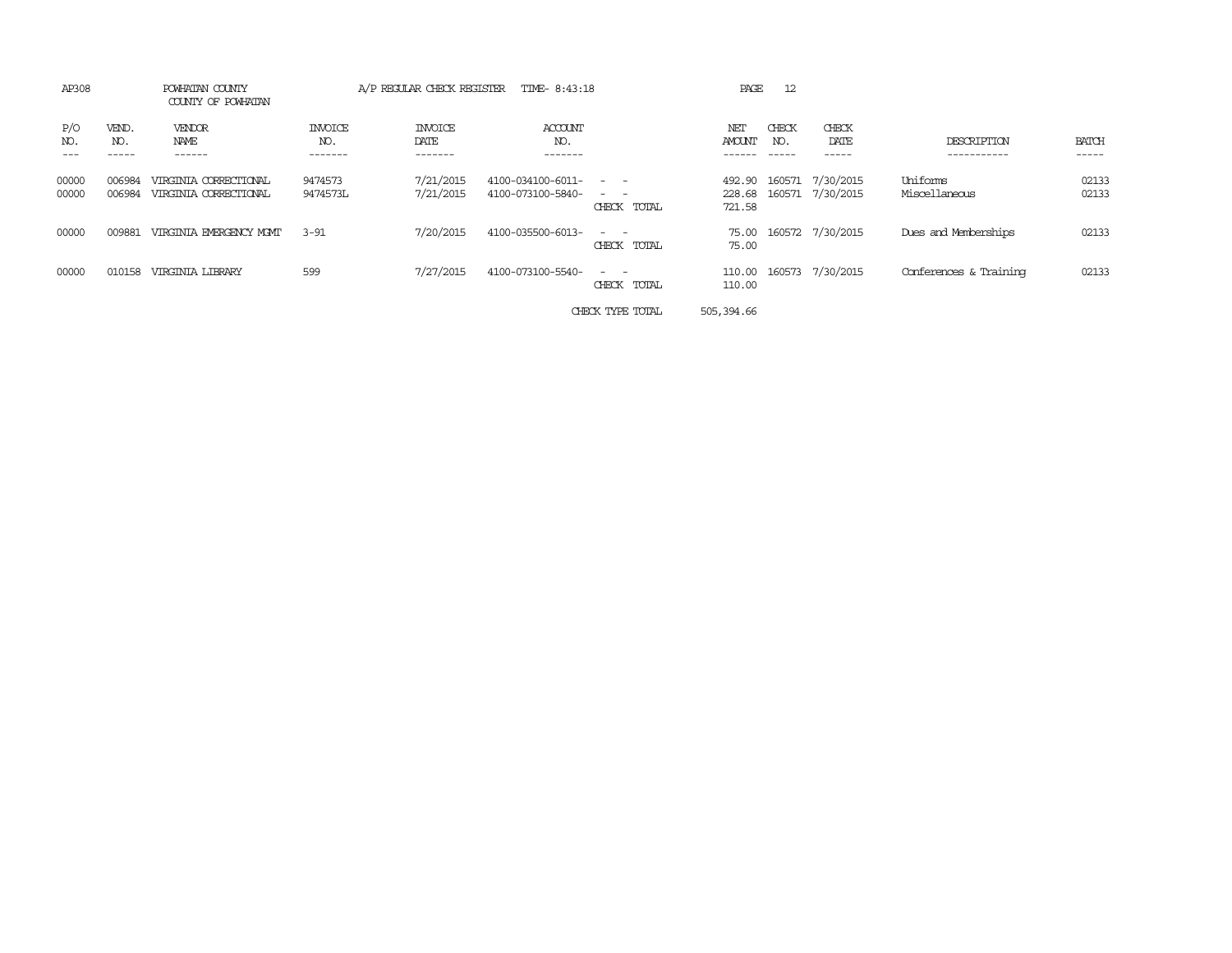| AP308          |                  | POWHATAN COUNTY<br>COUNTY OF POWHATAN          |                           | A/P REGULAR CHECK REGISTER | TIME- 8:43:18                          |                                            | PAGE                 | 12           |                                      |                           |                |
|----------------|------------------|------------------------------------------------|---------------------------|----------------------------|----------------------------------------|--------------------------------------------|----------------------|--------------|--------------------------------------|---------------------------|----------------|
| P/O<br>NO.     | VEND.<br>NO.     | VENDOR<br>NAME<br>------                       | INVOICE<br>NO.<br>------- | INVOICE<br>DATE<br>------- | ACCOUNT<br>NO.<br>-------              |                                            | NET<br><b>AMOUNT</b> | CHECK<br>NO. | CHECK<br>DATE<br>-----               | DESCRIPTION<br>.          | BATCH<br>----- |
| 00000<br>00000 | 006984<br>006984 | VIRGINIA CORRECTIONAL<br>VIRGINIA CORRECTIONAL | 9474573<br>9474573L       | 7/21/2015<br>7/21/2015     | 4100-034100-6011-<br>4100-073100-5840- | $\sim$ $\sim$<br>$\sim$ $-$<br>CHECK TOTAL | 492.90<br>721.58     | 160571       | 7/30/2015<br>228.68 160571 7/30/2015 | Uniforms<br>Miscellaneous | 02133<br>02133 |
| 00000          | 009881           | VIRGINIA EMERGENCY MGMT                        | $3 - 91$                  | 7/20/2015                  | 4100-035500-6013-                      | $\sim$ $\sim$<br>CHECK TOTAL               | 75.00<br>75.00       |              | 160572 7/30/2015                     | Dues and Memberships      | 02133          |
| 00000          | 010158           | <b>VIRGINIA LIBRARY</b>                        | 599                       | 7/27/2015                  | 4100-073100-5540-                      | $\sim$ $\sim$<br>CHECK TOTAL               | 110.00<br>110.00     |              | 160573 7/30/2015                     | Conferences & Training    | 02133          |
|                |                  |                                                |                           |                            |                                        | CHECK TYPE TOTAL                           | 505,394.66           |              |                                      |                           |                |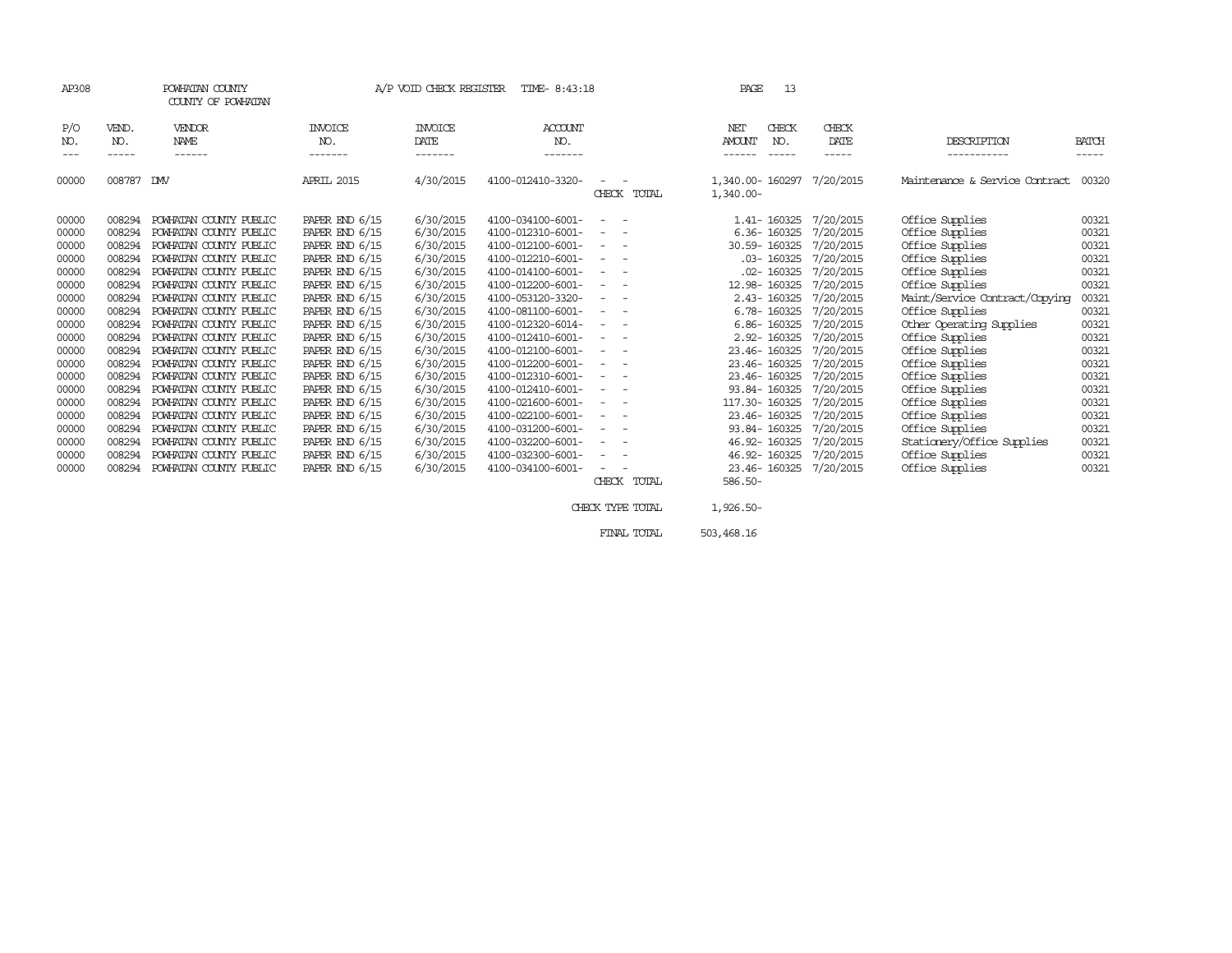| AP308 |        | POWHATAN COUNTY<br>COUNTY OF POWHATAN |                  | A/P VOID CHECK REGISTER | TIME- 8:43:18     |                  |                          | PAGE<br>13                       |           |                                |              |
|-------|--------|---------------------------------------|------------------|-------------------------|-------------------|------------------|--------------------------|----------------------------------|-----------|--------------------------------|--------------|
| P/O   | VEND.  | <b>VENDOR</b>                         | <b>INVOICE</b>   | <b>INVOICE</b>          | ACCOUNT           |                  |                          | CHECK<br><b>NET</b>              | CHECK     |                                |              |
| NO.   | NO.    | NAME                                  | NO.              | DATE                    | NO.               |                  |                          | NO.<br><b>AMOUNT</b>             | DATE      | DESCRIPTION                    | <b>BATCH</b> |
| ---   | -----  | ------                                | -------          | -------                 | -------           |                  |                          | -----                            | -----     | -----------                    | -----        |
| 00000 | 008787 | <b>DMV</b>                            | APRIL 2015       | 4/30/2015               | 4100-012410-3320- | CHECK TOTAL      |                          | 1,340.00- 160297<br>$1,340.00 -$ | 7/20/2015 | Maintenance & Service Contract | 00320        |
| 00000 | 008294 | POWHATAN COUNTY PUBLIC                | PAPER END 6/15   | 6/30/2015               | 4100-034100-6001- |                  |                          | 1.41-160325                      | 7/20/2015 | Office Supplies                | 00321        |
| 00000 | 008294 | POWHATAN COUNTY PUBLIC                | PAPER END $6/15$ | 6/30/2015               | 4100-012310-6001- |                  |                          | 6.36-160325                      | 7/20/2015 | Office Supplies                | 00321        |
| 00000 | 008294 | POWHATAN COUNTY PUBLIC                | PAPER END 6/15   | 6/30/2015               | 4100-012100-6001- | $\sim$ $\sim$    |                          | 30.59-160325                     | 7/20/2015 | Office Supplies                | 00321        |
| 00000 | 008294 | POWHATAN COUNTY PUBLIC                | PAPER END $6/15$ | 6/30/2015               | 4100-012210-6001- |                  |                          | $.03 - 160325$                   | 7/20/2015 | Office Supplies                | 00321        |
| 00000 | 008294 | POWHATAN COUNTY PUBLIC                | PAPER END 6/15   | 6/30/2015               | 4100-014100-6001- | $\sim$ $ -$      |                          | $.02 - 160325$                   | 7/20/2015 | Office Supplies                | 00321        |
| 00000 | 008294 | POWHATAN COUNTY PUBLIC                | PAPER END 6/15   | 6/30/2015               | 4100-012200-6001- |                  |                          | 12.98-160325                     | 7/20/2015 | Office Supplies                | 00321        |
| 00000 | 008294 | POWHATAN COUNTY PUBLIC                | PAPER END 6/15   | 6/30/2015               | 4100-053120-3320- | $\sim$ $-$       |                          | 2.43-160325                      | 7/20/2015 | Maint/Service Contract/Copying | 00321        |
| 00000 | 008294 | POWHATAN COUNTY PUBLIC                | PAPER END 6/15   | 6/30/2015               | 4100-081100-6001- | $\sim$ 100 $\mu$ | $\sim$                   | 6.78-160325                      | 7/20/2015 | Office Supplies                | 00321        |
| 00000 | 008294 | POWHATAN COUNTY PUBLIC                | PAPER END 6/15   | 6/30/2015               | 4100-012320-6014- | $\sim 100$       | $\overline{\phantom{a}}$ | 6.86-160325                      | 7/20/2015 | Other Operating Supplies       | 00321        |
| 00000 | 008294 | POWHATAN COUNTY PUBLIC                | PAPER END 6/15   | 6/30/2015               | 4100-012410-6001- |                  |                          | 2.92-160325                      | 7/20/2015 | Office Supplies                | 00321        |
| 00000 | 008294 | POWHATAN COUNTY PUBLIC                | PAPER END $6/15$ | 6/30/2015               | 4100-012100-6001- | $\sim$ 100 $\mu$ | $\sim$                   | 23.46-160325                     | 7/20/2015 | Office Supplies                | 00321        |
| 00000 | 008294 | POWHATAN COUNTY PUBLIC                | PAPER END $6/15$ | 6/30/2015               | 4100-012200-6001- |                  |                          | 23.46-160325                     | 7/20/2015 | Office Supplies                | 00321        |
| 00000 | 008294 | POWHATAN COUNTY PUBLIC                | PAPER END 6/15   | 6/30/2015               | 4100-012310-6001- | $\sim$ 100 $\mu$ | $\overline{\phantom{a}}$ | 23.46-160325                     | 7/20/2015 | Office Supplies                | 00321        |
| 00000 | 008294 | POWHATAN COUNTY PUBLIC                | PAPER END 6/15   | 6/30/2015               | 4100-012410-6001- |                  | $\sim$                   | 93.84-160325                     | 7/20/2015 | Office Supplies                | 00321        |
| 00000 | 008294 | POWHATAN COUNTY PUBLIC                | PAPER END 6/15   | 6/30/2015               | 4100-021600-6001- | $\sim$ $-$       | $\overline{\phantom{a}}$ | 117.30-160325                    | 7/20/2015 | Office Supplies                | 00321        |
| 00000 | 008294 | POWHATAN COUNTY PUBLIC                | PAPER END 6/15   | 6/30/2015               | 4100-022100-6001- | $\sim$ $-$       | $\overline{\phantom{a}}$ | 23.46-160325                     | 7/20/2015 | Office Supplies                | 00321        |
| 00000 | 008294 | POWHATAN COUNTY PUBLIC                | PAPER END 6/15   | 6/30/2015               | 4100-031200-6001- |                  | $\overline{\phantom{a}}$ | 93.84-160325                     | 7/20/2015 | Office Supplies                | 00321        |
| 00000 | 008294 | POWHATAN COUNTY PUBLIC                | PAPER END 6/15   | 6/30/2015               | 4100-032200-6001- | $ -$             |                          | 46.92-160325                     | 7/20/2015 | Stationery/Office Supplies     | 00321        |
| 00000 | 008294 | POWHATAN COUNTY PUBLIC                | PAPER END 6/15   | 6/30/2015               | 4100-032300-6001- |                  | $\overline{\phantom{a}}$ | 46.92-160325                     | 7/20/2015 | Office Supplies                | 00321        |
| 00000 | 008294 | POWHATAN COUNTY PUBLIC                | PAPER END $6/15$ | 6/30/2015               | 4100-034100-6001- |                  |                          | 23.46-160325                     | 7/20/2015 | Office Supplies                | 00321        |
|       |        |                                       |                  |                         |                   | CHECK TOTAL      |                          | $586.50 -$                       |           |                                |              |

CHECK TYPE TOTAL  $1,926.50-$ 

FINAL TOTAL 503,468.16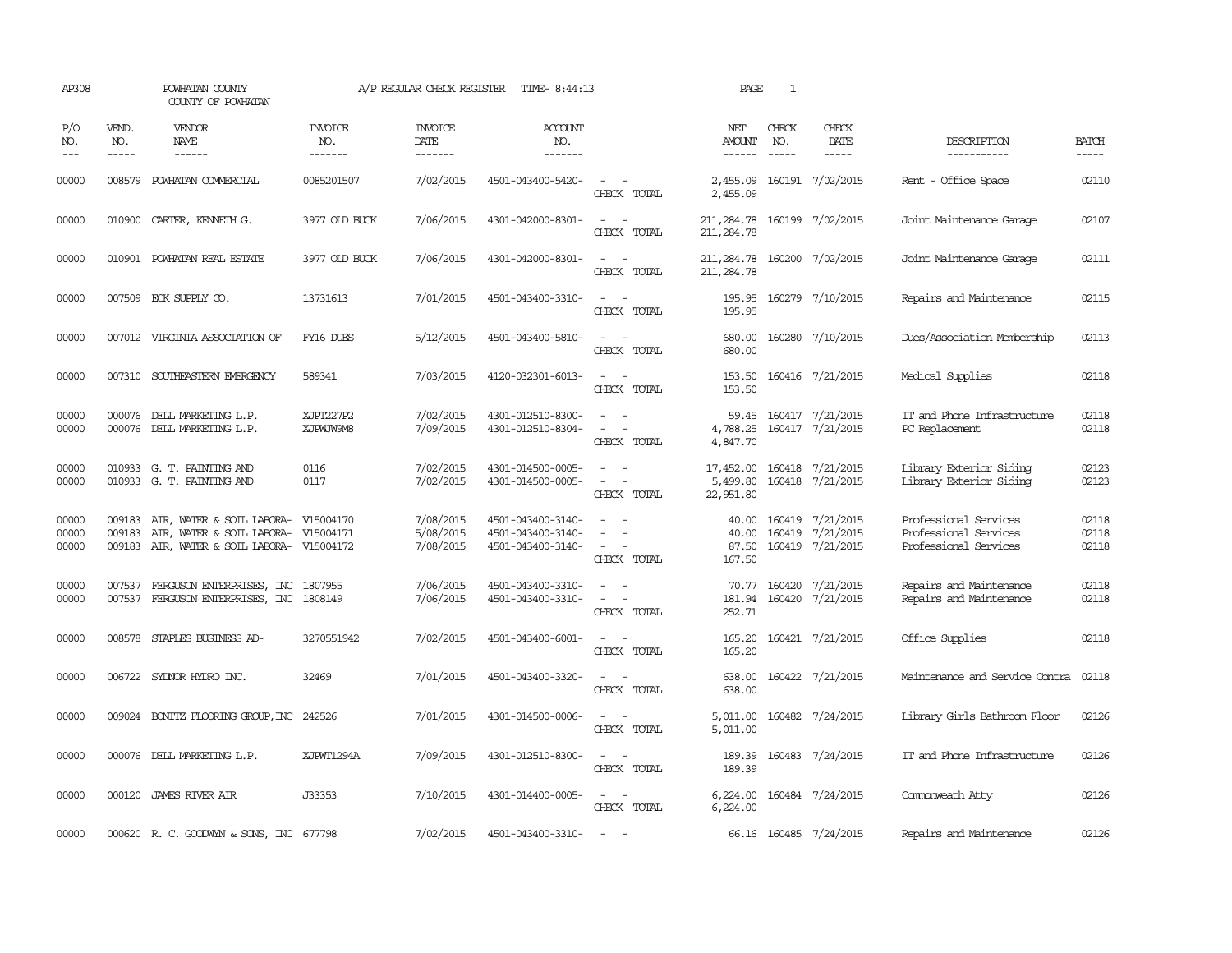| AP308                   |                             | POWHATAN COUNTY<br>COUNTY OF POWHATAN                                                                   |                                  | A/P REGULAR CHECK REGISTER          | TIME- 8:44:13                                               |                                                                                                                                          | PAGE                                       | $\mathbf{1}$                  |                                                          |                                                                         |                         |
|-------------------------|-----------------------------|---------------------------------------------------------------------------------------------------------|----------------------------------|-------------------------------------|-------------------------------------------------------------|------------------------------------------------------------------------------------------------------------------------------------------|--------------------------------------------|-------------------------------|----------------------------------------------------------|-------------------------------------------------------------------------|-------------------------|
| P/O<br>NO.<br>$---$     | VEND.<br>NO.<br>$- - - - -$ | <b>VENDOR</b><br>NAME                                                                                   | <b>INVOICE</b><br>NO.<br>------- | <b>INVOICE</b><br>DATE<br>-------   | <b>ACCOUNT</b><br>NO.<br>-------                            |                                                                                                                                          | NET<br>AMOUNT<br>-------                   | CHECK<br>NO.<br>$\frac{1}{2}$ | CHECK<br>DATE                                            | DESCRIPTION<br>-----------                                              | <b>BATCH</b><br>-----   |
| 00000                   |                             | 008579 POWHATAN COMMERCIAL                                                                              | 0085201507                       | 7/02/2015                           | 4501-043400-5420-                                           | $\sim$ 10 $\sim$ 10 $\sim$<br>CHECK TOTAL                                                                                                | 2,455.09<br>2,455.09                       |                               | 160191 7/02/2015                                         | Rent - Office Space                                                     | 02110                   |
| 00000                   |                             | 010900 CARIER, KENNETH G.                                                                               | 3977 OLD BUCK                    | 7/06/2015                           | 4301-042000-8301-                                           | $\frac{1}{2} \left( \frac{1}{2} \right) \left( \frac{1}{2} \right) \left( \frac{1}{2} \right) \left( \frac{1}{2} \right)$<br>CHECK TOTAL | 211,284.78 160199 7/02/2015<br>211, 284.78 |                               |                                                          | Joint Maintenance Garage                                                | 02107                   |
| 00000                   |                             | 010901 POWHATAN REAL ESTATE                                                                             | 3977 OLD BUCK                    | 7/06/2015                           | 4301-042000-8301-                                           | $\frac{1}{2} \left( \frac{1}{2} \right) \left( \frac{1}{2} \right) = \frac{1}{2} \left( \frac{1}{2} \right)$<br>CHECK TOTAL              | 211,284.78<br>211, 284.78                  |                               | 160200 7/02/2015                                         | Joint Maintenance Garage                                                | 02111                   |
| 00000                   |                             | 007509 ECK SUPPLY CO.                                                                                   | 13731613                         | 7/01/2015                           | 4501-043400-3310-                                           | $\sim$ 100 $\sim$<br>CHECK TOTAL                                                                                                         | 195.95<br>195.95                           |                               | 160279 7/10/2015                                         | Repairs and Maintenance                                                 | 02115                   |
| 00000                   |                             | 007012 VIRGINIA ASSOCIATION OF                                                                          | FY16 DUES                        | 5/12/2015                           | 4501-043400-5810-                                           | $\sim$ 10 $\sim$ 10 $\sim$<br>CHECK TOTAL                                                                                                | 680.00<br>680.00                           |                               | 160280 7/10/2015                                         | Dues/Association Membership                                             | 02113                   |
| 00000                   |                             | 007310 SOUTHEASTERN EMERGENCY                                                                           | 589341                           | 7/03/2015                           | 4120-032301-6013-                                           | $\sim$ 100 $\sim$<br>CHECK TOTAL                                                                                                         | 153.50<br>153.50                           |                               | 160416 7/21/2015                                         | Medical Supplies                                                        | 02118                   |
| 00000<br>00000          |                             | 000076 DELL MARKETING L.P.<br>000076 DELL MARKETING L.P.                                                | XJPT227P2<br>XJPWJW9M8           | 7/02/2015<br>7/09/2015              | 4301-012510-8300-<br>4301-012510-8304-                      | $\overline{\phantom{a}}$<br>CHECK TOTAL                                                                                                  | 59.45<br>4,788.25<br>4,847.70              |                               | 160417 7/21/2015<br>160417 7/21/2015                     | IT and Phone Infrastructure<br>PC Replacement                           | 02118<br>02118          |
| 00000<br>00000          |                             | 010933 G. T. PAINTING AND<br>010933 G. T. PAINTING AND                                                  | 0116<br>0117                     | 7/02/2015<br>7/02/2015              | 4301-014500-0005-<br>4301-014500-0005-                      | $\overline{\phantom{a}}$<br>$\sim$<br>$\sim$<br>CHECK TOTAL                                                                              | 17,452.00<br>5,499.80<br>22,951.80         |                               | 160418 7/21/2015<br>160418 7/21/2015                     | Library Exterior Siding<br>Library Exterior Siding                      | 02123<br>02123          |
| 00000<br>00000<br>00000 | 009183<br>009183<br>009183  | AIR, WATER & SOIL LABORA- V15004170<br>AIR, WATER & SOIL LABORA- V15004171<br>AIR, WATER & SOIL LABORA- | V15004172                        | 7/08/2015<br>5/08/2015<br>7/08/2015 | 4501-043400-3140-<br>4501-043400-3140-<br>4501-043400-3140- | $\equiv$<br>$\sim$<br>$\overline{\phantom{a}}$<br>CHECK TOTAL                                                                            | 40.00<br>40.00<br>87.50<br>167.50          |                               | 160419 7/21/2015<br>160419 7/21/2015<br>160419 7/21/2015 | Professional Services<br>Professional Services<br>Professional Services | 02118<br>02118<br>02118 |
| 00000<br>00000          |                             | 007537 FERGUSON ENTERPRISES, INC 1807955<br>007537 FERGUSON ENTERPRISES, INC 1808149                    |                                  | 7/06/2015<br>7/06/2015              | 4501-043400-3310-<br>4501-043400-3310-                      | $\omega_{\rm{max}}$ and $\omega_{\rm{max}}$<br>$\sim$ $ \sim$<br>CHECK TOTAL                                                             | 252.71                                     |                               | 70.77 160420 7/21/2015<br>181.94 160420 7/21/2015        | Repairs and Maintenance<br>Repairs and Maintenance                      | 02118<br>02118          |
| 00000                   |                             | 008578 STAPLES BUSINESS AD-                                                                             | 3270551942                       | 7/02/2015                           | 4501-043400-6001-                                           | CHECK TOTAL                                                                                                                              | 165.20<br>165.20                           |                               | 160421 7/21/2015                                         | Office Supplies                                                         | 02118                   |
| 00000                   |                             | 006722 SYDNOR HYDRO INC.                                                                                | 32469                            | 7/01/2015                           | 4501-043400-3320-                                           | $\sim$<br>$\sim$<br>CHECK TOTAL                                                                                                          | 638.00<br>638.00                           |                               | 160422 7/21/2015                                         | Maintenance and Service Contra                                          | 02118                   |
| 00000                   |                             | 009024 BONITZ FLOORING GROUP, INC 242526                                                                |                                  | 7/01/2015                           | 4301-014500-0006-                                           | $\overline{\phantom{a}}$<br>$\sim$<br>CHECK TOTAL                                                                                        | 5,011.00<br>5,011.00                       |                               | 160482 7/24/2015                                         | Library Girls Bathroom Floor                                            | 02126                   |
| 00000                   |                             | 000076 DELL MARKETING L.P.                                                                              | XJPWT1294A                       | 7/09/2015                           | 4301-012510-8300-                                           | $\frac{1}{2} \left( \frac{1}{2} \right) \left( \frac{1}{2} \right) = \frac{1}{2} \left( \frac{1}{2} \right)$<br>CHECK TOTAL              | 189.39                                     |                               | 189.39 160483 7/24/2015                                  | IT and Phone Infrastructure                                             | 02126                   |
| 00000                   |                             | 000120 JAMES RIVER AIR                                                                                  | J33353                           | 7/10/2015                           | 4301-014400-0005-                                           | $\frac{1}{2} \left( \frac{1}{2} \right) \left( \frac{1}{2} \right) = \frac{1}{2} \left( \frac{1}{2} \right)$<br>CHECK TOTAL              | 6,224.00<br>6,224.00                       |                               | 160484 7/24/2015                                         | Commonweath Atty                                                        | 02126                   |
| 00000                   |                             | 000620 R. C. GOODWYN & SONS, INC 677798                                                                 |                                  | 7/02/2015                           | 4501-043400-3310-                                           | <b><i><u>Participate</u></i></b>                                                                                                         |                                            |                               | 66.16 160485 7/24/2015                                   | Repairs and Maintenance                                                 | 02126                   |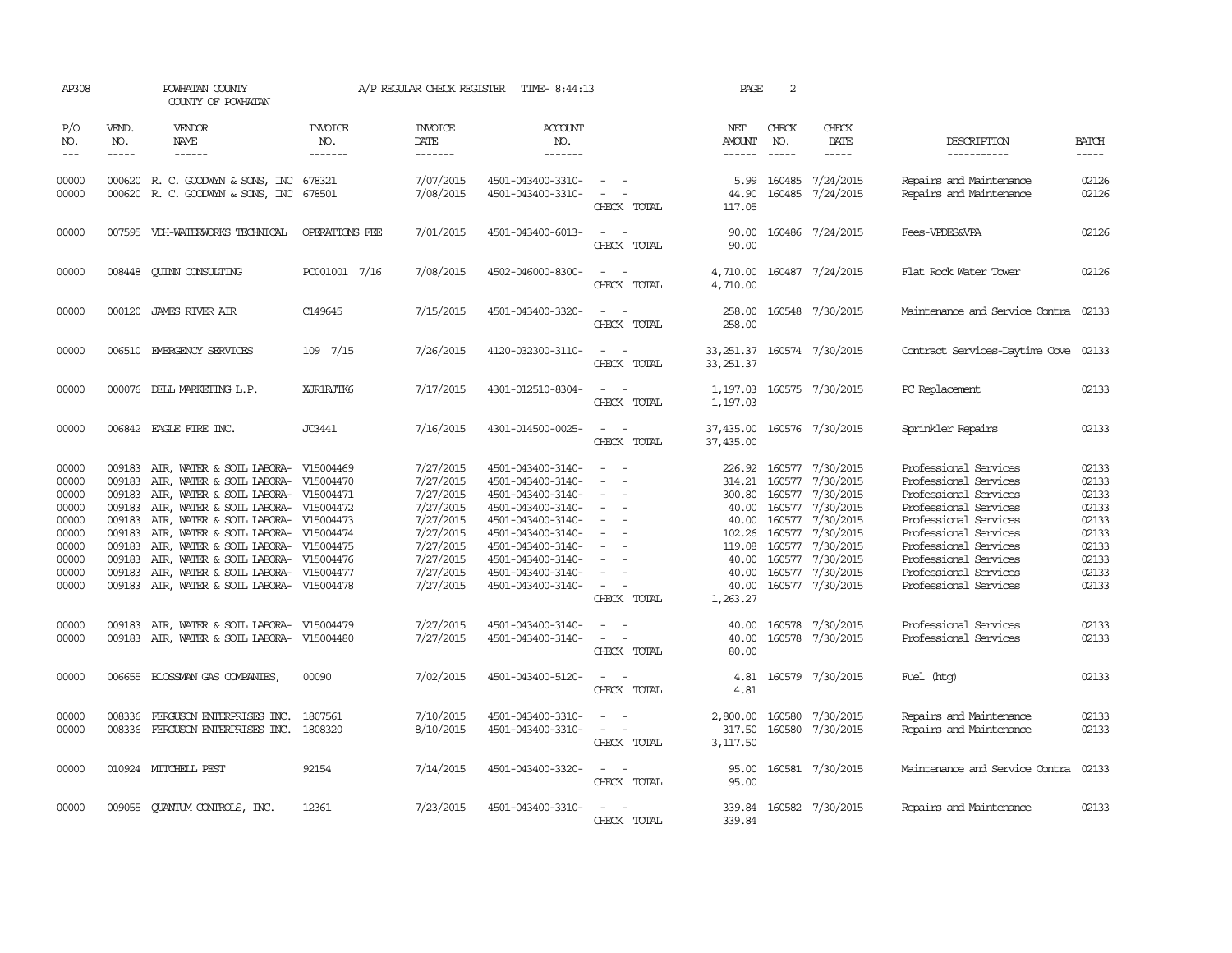| AP308                                                                                  |                                                                                        | POWHATAN COUNTY<br>COUNTY OF POWHATAN                                                                                                                                                                                                                                                                                                                                       |                                     | A/P REGULAR CHECK REGISTER                                                                                                     | TIME- 8:44:13                                                                                                                                                                                                  |                                                                                                                             | PAGE                                                                                 | 2                           |                                                                                                                                                                                                                   |                                                                                                                                                                                                                                                        |                                                                                        |
|----------------------------------------------------------------------------------------|----------------------------------------------------------------------------------------|-----------------------------------------------------------------------------------------------------------------------------------------------------------------------------------------------------------------------------------------------------------------------------------------------------------------------------------------------------------------------------|-------------------------------------|--------------------------------------------------------------------------------------------------------------------------------|----------------------------------------------------------------------------------------------------------------------------------------------------------------------------------------------------------------|-----------------------------------------------------------------------------------------------------------------------------|--------------------------------------------------------------------------------------|-----------------------------|-------------------------------------------------------------------------------------------------------------------------------------------------------------------------------------------------------------------|--------------------------------------------------------------------------------------------------------------------------------------------------------------------------------------------------------------------------------------------------------|----------------------------------------------------------------------------------------|
| P/O<br>NO.<br>$---$                                                                    | VEND.<br>NO.<br>$- - - - -$                                                            | <b>VENDOR</b><br>NAME<br>$- - - - - -$                                                                                                                                                                                                                                                                                                                                      | <b>INVOICE</b><br>NO.<br>-------    | <b>INVOICE</b><br>DATE<br>-------                                                                                              | <b>ACCOUNT</b><br>NO.<br>-------                                                                                                                                                                               |                                                                                                                             | NET<br>AMOUNT<br>$- - - - - -$                                                       | CHECK<br>NO.<br>$- - - - -$ | CHECK<br>DATE<br>$- - - - -$                                                                                                                                                                                      | DESCRIPTION<br>-----------                                                                                                                                                                                                                             | <b>BATCH</b><br>-----                                                                  |
| 00000<br>00000                                                                         |                                                                                        | 000620 R. C. GOODWYN & SONS, INC 678321<br>000620 R. C. GOODWYN & SONS, INC 678501                                                                                                                                                                                                                                                                                          |                                     | 7/07/2015<br>7/08/2015                                                                                                         | 4501-043400-3310-<br>4501-043400-3310-                                                                                                                                                                         | $\overline{\phantom{a}}$<br>$\sim$ $-$<br>$\overline{\phantom{a}}$<br>CHECK TOTAL                                           | 5.99<br>44.90<br>117.05                                                              |                             | 160485 7/24/2015<br>160485 7/24/2015                                                                                                                                                                              | Repairs and Maintenance<br>Repairs and Maintenance                                                                                                                                                                                                     | 02126<br>02126                                                                         |
| 00000                                                                                  |                                                                                        | 007595 VDH-WATERWORKS TECHNICAL                                                                                                                                                                                                                                                                                                                                             | OPERATIONS FEE                      | 7/01/2015                                                                                                                      | 4501-043400-6013-                                                                                                                                                                                              | $\sim$ $\sim$<br>CHECK TOTAL                                                                                                | 90.00<br>90.00                                                                       |                             | 160486 7/24/2015                                                                                                                                                                                                  | Fees-VPDES&VPA                                                                                                                                                                                                                                         | 02126                                                                                  |
| 00000                                                                                  |                                                                                        | 008448 CUINN CONSULTING                                                                                                                                                                                                                                                                                                                                                     | PC001001 7/16                       | 7/08/2015                                                                                                                      | 4502-046000-8300-                                                                                                                                                                                              | $\frac{1}{2} \left( \frac{1}{2} \right) \left( \frac{1}{2} \right) = \frac{1}{2} \left( \frac{1}{2} \right)$<br>CHECK TOTAL | 4,710.00<br>4,710.00                                                                 |                             | 160487 7/24/2015                                                                                                                                                                                                  | Flat Rock Water Tower                                                                                                                                                                                                                                  | 02126                                                                                  |
| 00000                                                                                  |                                                                                        | 000120 JAMES RIVER AIR                                                                                                                                                                                                                                                                                                                                                      | C149645                             | 7/15/2015                                                                                                                      | 4501-043400-3320-                                                                                                                                                                                              | $\overline{\phantom{a}}$<br>CHECK TOTAL                                                                                     | 258.00<br>258.00                                                                     |                             | 160548 7/30/2015                                                                                                                                                                                                  | Maintenance and Service Contra                                                                                                                                                                                                                         | 02133                                                                                  |
| 00000                                                                                  |                                                                                        | 006510 EMERGENCY SERVICES                                                                                                                                                                                                                                                                                                                                                   | 109 7/15                            | 7/26/2015                                                                                                                      | 4120-032300-3110-                                                                                                                                                                                              | $\overline{\phantom{a}}$<br>$\sim$<br>CHECK TOTAL                                                                           | 33, 251.37<br>33, 251, 37                                                            |                             | 160574 7/30/2015                                                                                                                                                                                                  | Contract Services-Daytime Cove                                                                                                                                                                                                                         | 02133                                                                                  |
| 00000                                                                                  |                                                                                        | 000076 DELL MARKETING L.P.                                                                                                                                                                                                                                                                                                                                                  | XJR1RJTK6                           | 7/17/2015                                                                                                                      | 4301-012510-8304-                                                                                                                                                                                              | CHECK TOTAL                                                                                                                 | 1,197.03<br>1,197.03                                                                 |                             | 160575 7/30/2015                                                                                                                                                                                                  | PC Replacement                                                                                                                                                                                                                                         | 02133                                                                                  |
| 00000                                                                                  |                                                                                        | 006842 EAGLE FIRE INC.                                                                                                                                                                                                                                                                                                                                                      | <b>JC3441</b>                       | 7/16/2015                                                                                                                      | 4301-014500-0025-                                                                                                                                                                                              | $\overline{\phantom{a}}$<br>CHECK TOTAL                                                                                     | 37,435.00<br>37,435.00                                                               |                             | 160576 7/30/2015                                                                                                                                                                                                  | Sprinkler Repairs                                                                                                                                                                                                                                      | 02133                                                                                  |
| 00000<br>00000<br>00000<br>00000<br>00000<br>00000<br>00000<br>00000<br>00000<br>00000 | 009183<br>009183<br>009183<br>009183<br>009183<br>009183<br>009183<br>009183<br>009183 | AIR, WATER & SOIL LABORA-<br>AIR, WATER & SOIL LABORA-<br>AIR, WATER & SOIL LABORA- V15004471<br>AIR, WATER & SOIL LABORA- V15004472<br>AIR, WATER & SOIL LABORA- V15004473<br>AIR, WATER & SOIL LABORA-<br>AIR, WATER & SOIL LABORA- V15004475<br>AIR, WATER & SOIL LABORA- V15004476<br>AIR, WATER & SOIL LABORA- V15004477<br>009183 AIR, WATER & SOIL LABORA- V15004478 | V15004469<br>V15004470<br>V15004474 | 7/27/2015<br>7/27/2015<br>7/27/2015<br>7/27/2015<br>7/27/2015<br>7/27/2015<br>7/27/2015<br>7/27/2015<br>7/27/2015<br>7/27/2015 | 4501-043400-3140-<br>4501-043400-3140-<br>4501-043400-3140-<br>4501-043400-3140-<br>4501-043400-3140-<br>4501-043400-3140-<br>4501-043400-3140-<br>4501-043400-3140-<br>4501-043400-3140-<br>4501-043400-3140- | $ -$<br>$\overline{\phantom{a}}$<br>$\sim$<br>$\sim$<br>CHECK TOTAL                                                         | 226.92<br>314.21<br>40.00<br>102.26<br>119.08<br>40.00<br>40.00<br>40.00<br>1,263.27 |                             | 160577 7/30/2015<br>160577 7/30/2015<br>300.80 160577 7/30/2015<br>40.00 160577 7/30/2015<br>160577 7/30/2015<br>160577 7/30/2015<br>160577 7/30/2015<br>160577 7/30/2015<br>160577 7/30/2015<br>160577 7/30/2015 | Professional Services<br>Professional Services<br>Professional Services<br>Professional Services<br>Professional Services<br>Professional Services<br>Professional Services<br>Professional Services<br>Professional Services<br>Professional Services | 02133<br>02133<br>02133<br>02133<br>02133<br>02133<br>02133<br>02133<br>02133<br>02133 |
| 00000<br>00000                                                                         | 009183                                                                                 | AIR, WATER & SOIL LABORA- V15004479<br>009183 AIR, WATER & SOIL LABORA- V15004480                                                                                                                                                                                                                                                                                           |                                     | 7/27/2015<br>7/27/2015                                                                                                         | 4501-043400-3140-<br>4501-043400-3140-                                                                                                                                                                         | $\sim$<br>$\overline{\phantom{a}}$<br>CHECK TOTAL                                                                           | 40.00<br>40.00<br>80.00                                                              |                             | 160578 7/30/2015<br>160578 7/30/2015                                                                                                                                                                              | Professional Services<br>Professional Services                                                                                                                                                                                                         | 02133<br>02133                                                                         |
| 00000                                                                                  |                                                                                        | 006655 BLOSSMAN GAS COMPANIES                                                                                                                                                                                                                                                                                                                                               | 00090                               | 7/02/2015                                                                                                                      | 4501-043400-5120-                                                                                                                                                                                              | $\sim$ $\sim$<br>CHECK TOTAL                                                                                                | 4.81<br>4.81                                                                         |                             | 160579 7/30/2015                                                                                                                                                                                                  | Fuel (htg)                                                                                                                                                                                                                                             | 02133                                                                                  |
| 00000<br>00000                                                                         | 008336                                                                                 | FERGUSON ENTERPRISES INC.<br>008336 FERGUSON ENTERPRISES INC.                                                                                                                                                                                                                                                                                                               | 1807561<br>1808320                  | 7/10/2015<br>8/10/2015                                                                                                         | 4501-043400-3310-<br>4501-043400-3310-                                                                                                                                                                         | $\overline{\phantom{a}}$<br>$\sim$<br>$\sim$<br>CHECK TOTAL                                                                 | 2,800.00<br>317.50<br>3,117.50                                                       | 160580                      | 160580 7/30/2015<br>7/30/2015                                                                                                                                                                                     | Repairs and Maintenance<br>Repairs and Maintenance                                                                                                                                                                                                     | 02133<br>02133                                                                         |
| 00000                                                                                  |                                                                                        | 010924 MITCHELL PEST                                                                                                                                                                                                                                                                                                                                                        | 92154                               | 7/14/2015                                                                                                                      | 4501-043400-3320-                                                                                                                                                                                              | $\sim$ $ \sim$<br>CHECK TOTAL                                                                                               | 95.00<br>95.00                                                                       |                             | 160581 7/30/2015                                                                                                                                                                                                  | Maintenance and Service Contra                                                                                                                                                                                                                         | 02133                                                                                  |
| 00000                                                                                  |                                                                                        | 009055 CUANTUM CONTROLS, INC.                                                                                                                                                                                                                                                                                                                                               | 12361                               | 7/23/2015                                                                                                                      | 4501-043400-3310-                                                                                                                                                                                              | $\frac{1}{2} \left( \frac{1}{2} \right) \left( \frac{1}{2} \right) = \frac{1}{2} \left( \frac{1}{2} \right)$<br>CHECK TOTAL | 339.84                                                                               |                             | 339.84 160582 7/30/2015                                                                                                                                                                                           | Repairs and Maintenance                                                                                                                                                                                                                                | 02133                                                                                  |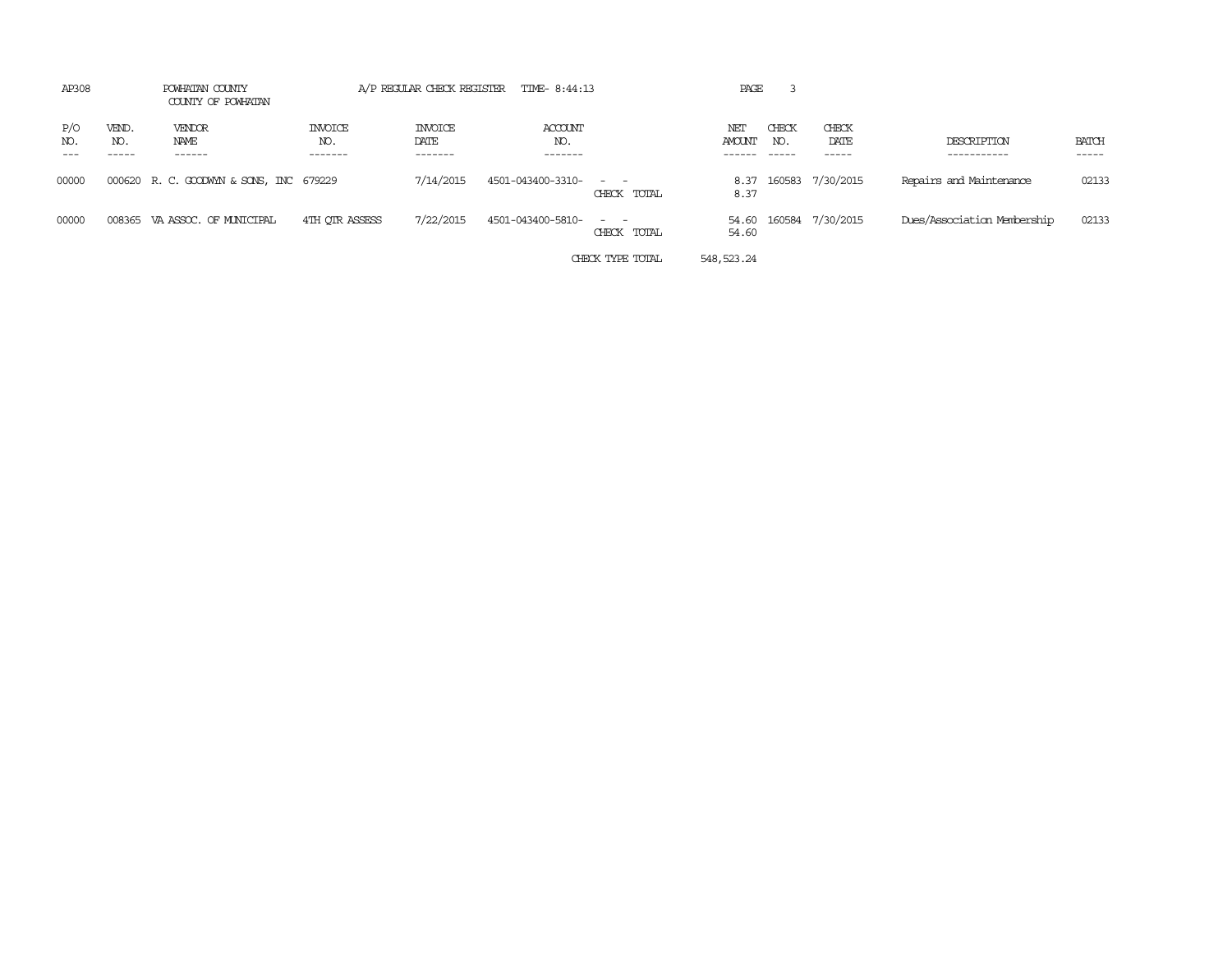| AP308      |                       | POWHATAN COUNTY<br>COUNTY OF POWHATAN  |                                  | A/P REGULAR CHECK REGISTER        | TIME-8:44:13                     |                              | PAGE           |                       |                         |                             |                       |
|------------|-----------------------|----------------------------------------|----------------------------------|-----------------------------------|----------------------------------|------------------------------|----------------|-----------------------|-------------------------|-----------------------------|-----------------------|
| P/O<br>NO. | VEND.<br>NO.<br>----- | <b>VENDOR</b><br>NAME<br>------        | <b>INVOICE</b><br>NO.<br>------- | <b>INVOICE</b><br>DATE<br>------- | <b>ACCOUNT</b><br>NO.<br>------- |                              | NET<br>AMOUNT  | CHECK<br>NO.<br>----- | CHECK<br>DATE<br>------ | DESCRIPTION<br>-----------  | <b>BATCH</b><br>----- |
| 00000      |                       | 000620 R.C. GOODWYN & SONS, INC 679229 |                                  | 7/14/2015                         | 4501-043400-3310- - -            | CHECK TOTAL                  | 8.37           |                       | 8.37 160583 7/30/2015   | Repairs and Maintenance     | 02133                 |
| 00000      |                       | 008365 VA ASSOC. OF MUNICIPAL          | 4TH OTR ASSESS                   | 7/22/2015                         | 4501-043400-5810-                | $\sim$ $\sim$<br>CHECK TOTAL | 54.60<br>54.60 |                       | 160584 7/30/2015        | Dues/Association Membership | 02133                 |
|            |                       |                                        |                                  |                                   |                                  | CHECK TYPE TOTAL             | 548, 523, 24   |                       |                         |                             |                       |